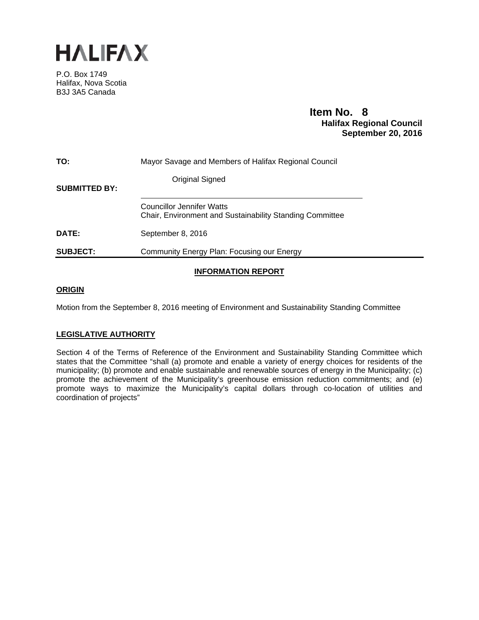

P.O. Box 1749 Halifax, Nova Scotia B3J 3A5 Canada

# **Item No. 8**<br>**Halifax Regional Council September 20, 2016**

| TO:                  | Mayor Savage and Members of Halifax Regional Council                                         |
|----------------------|----------------------------------------------------------------------------------------------|
| <b>SUBMITTED BY:</b> | <b>Original Signed</b>                                                                       |
|                      | <b>Councillor Jennifer Watts</b><br>Chair, Environment and Sustainability Standing Committee |
| <b>DATE:</b>         | September 8, 2016                                                                            |
| <b>SUBJECT:</b>      | Community Energy Plan: Focusing our Energy                                                   |

### **INFORMATION REPORT**

### **ORIGIN**

Motion from the September 8, 2016 meeting of Environment and Sustainability Standing Committee

### **LEGISLATIVE AUTHORITY**

Section 4 of the Terms of Reference of the Environment and Sustainability Standing Committee which states that the Committee "shall (a) promote and enable a variety of energy choices for residents of the municipality; (b) promote and enable sustainable and renewable sources of energy in the Municipality; (c) promote the achievement of the Municipality's greenhouse emission reduction commitments; and (e) promote ways to maximize the Municipality's capital dollars through co-location of utilities and coordination of projects"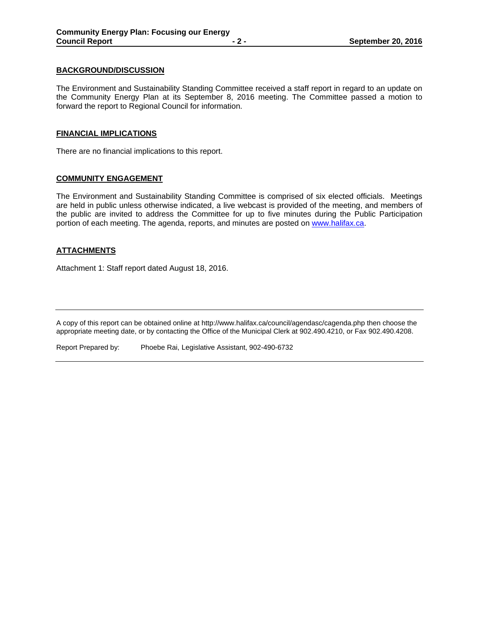### **BACKGROUND/DISCUSSION**

The Environment and Sustainability Standing Committee received a staff report in regard to an update on the Community Energy Plan at its September 8, 2016 meeting. The Committee passed a motion to forward the report to Regional Council for information.

### **FINANCIAL IMPLICATIONS**

There are no financial implications to this report.

### **COMMUNITY ENGAGEMENT**

The Environment and Sustainability Standing Committee is comprised of six elected officials. Meetings are held in public unless otherwise indicated, a live webcast is provided of the meeting, and members of the public are invited to address the Committee for up to five minutes during the Public Participation portion of each meeting. The agenda, reports, and minutes are posted on www.halifax.ca.

### **ATTACHMENTS**

Attachment 1: Staff report dated August 18, 2016.

A copy of this report can be obtained online at http://www.halifax.ca/council/agendasc/cagenda.php then choose the appropriate meeting date, or by contacting the Office of the Municipal Clerk at 902.490.4210, or Fax 902.490.4208.

Report Prepared by: Phoebe Rai, Legislative Assistant, 902-490-6732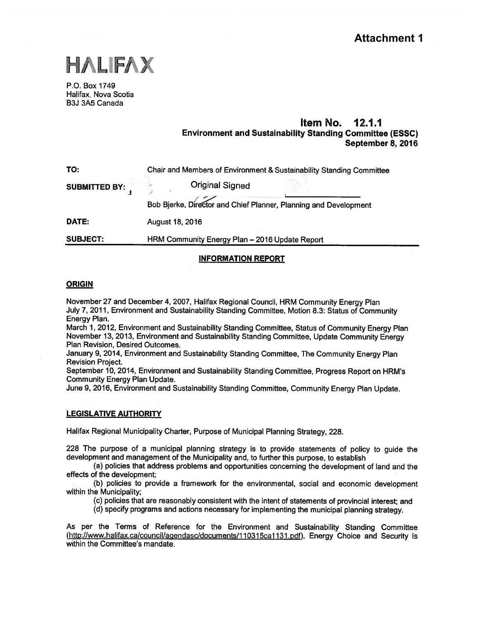

P.O. Box 1749 Halifax, Nova Scotia B3J 3A5 Canada

### Item No. 12.1.1 Environment and Sustainability Standing Committee (ESSC) September 8, 2016

| TO:                  | Chair and Members of Environment & Sustainability Standing Committee |  |  |  |  |
|----------------------|----------------------------------------------------------------------|--|--|--|--|
| <b>SUBMITTED BY:</b> | <b>Original Signed</b>                                               |  |  |  |  |
|                      | Bob Bjerke, Director and Chief Planner, Planning and Development     |  |  |  |  |
| DATE:                | August 18, 2016                                                      |  |  |  |  |
|                      |                                                                      |  |  |  |  |

SUBJECT: HRM Community Energy Plan —2016 Update Report

### INFORMATION REPORT

#### **ORIGIN**

November <sup>27</sup> and December 4, 2007, Halifax Regional Council, HRM Community Energy Plan July 7, 2011, Environment and Sustainability Standing Committee, Motion 8.3: Status of Community Energy Plan.

March 1, 2012, Environment and Sustainability Standing Committee, Status of Community Energy Plan November 13, 2013, Environment and Sustainability Standing Committee, Update Community Energy Plan Revision, Desired Outcomes.

January 9, 2014, Environment and Sustainability Standing Committee, The Community Energy Plan Revision Project.

September 10, 2014, Environment and Sustainability Standing Committee, Progress Report on HRM's Community Energy Plan Update.

June 9, 2016, Environment and Sustainability Standing Committee, Community Energy Plan Update.

### LEGISLATIVE AUTHORITY

Halifax Regional Municipality Charter, Purpose of Municipal Planning Strategy, 228.

<sup>228</sup> The purpose of <sup>a</sup> municipal <sup>p</sup>lanning strategy is to provide statements of policy to guide the development and managemen<sup>t</sup> of the Municipality and, to further this purpose, to establish

(a) policies that address problems and opportunities concerning the development of land and the effects of the development;

(b) policies to provide <sup>a</sup> framework for the environmental, social and economic development within the Municipality;

(c) policies that are reasonably consistent with the intent of statements of provincial interest; and

(d) specify programs and actions necessary for implementing the municipal <sup>p</sup>lanning strategy.

As per the Terms of Reference for the Environment and Sustainability Standing Committee (http://www.halifax.ca/council/agendasc/documents/110315ca1131.pdf), Energy Choice and Security is within the Committee's mandate.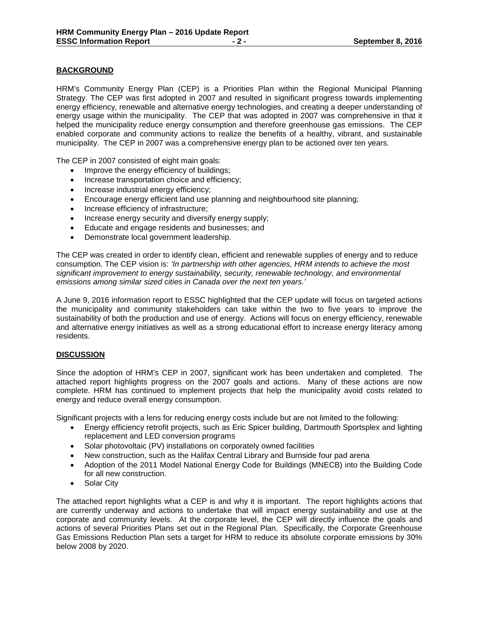### **BACKGROUND**

HRM's Community Energy Plan (CEP) is a Priorities Plan within the Regional Municipal Planning Strategy. The CEP was first adopted in 2007 and resulted in significant progress towards implementing energy efficiency, renewable and alternative energy technologies, and creating a deeper understanding of energy usage within the municipality. The CEP that was adopted in 2007 was comprehensive in that it helped the municipality reduce energy consumption and therefore greenhouse gas emissions. The CEP enabled corporate and community actions to realize the benefits of a healthy, vibrant, and sustainable municipality. The CEP in 2007 was a comprehensive energy plan to be actioned over ten years.

The CEP in 2007 consisted of eight main goals:

- Improve the energy efficiency of buildings;
- Increase transportation choice and efficiency;
- Increase industrial energy efficiency;
- Encourage energy efficient land use planning and neighbourhood site planning;
- Increase efficiency of infrastructure;
- Increase energy security and diversify energy supply;
- Educate and engage residents and businesses; and
- Demonstrate local government leadership.

The CEP was created in order to identify clean, efficient and renewable supplies of energy and to reduce consumption. The CEP vision is: *'In partnership with other agencies, HRM intends to achieve the most significant improvement to energy sustainability, security, renewable technology, and environmental emissions among similar sized cities in Canada over the next ten years.'*

A June 9, 2016 information report to ESSC highlighted that the CEP update will focus on targeted actions the municipality and community stakeholders can take within the two to five years to improve the sustainability of both the production and use of energy. Actions will focus on energy efficiency, renewable and alternative energy initiatives as well as a strong educational effort to increase energy literacy among residents.

#### **DISCUSSION**

Since the adoption of HRM's CEP in 2007, significant work has been undertaken and completed. The attached report highlights progress on the 2007 goals and actions. Many of these actions are now complete. HRM has continued to implement projects that help the municipality avoid costs related to energy and reduce overall energy consumption.

Significant projects with a lens for reducing energy costs include but are not limited to the following:

- Energy efficiency retrofit projects, such as Eric Spicer building, Dartmouth Sportsplex and lighting replacement and LED conversion programs
- Solar photovoltaic (PV) installations on corporately owned facilities
- New construction, such as the Halifax Central Library and Burnside four pad arena
- Adoption of the 2011 Model National Energy Code for Buildings (MNECB) into the Building Code for all new construction.
- Solar City

The attached report highlights what a CEP is and why it is important. The report highlights actions that are currently underway and actions to undertake that will impact energy sustainability and use at the corporate and community levels. At the corporate level, the CEP will directly influence the goals and actions of several Priorities Plans set out in the Regional Plan. Specifically, the Corporate Greenhouse Gas Emissions Reduction Plan sets a target for HRM to reduce its absolute corporate emissions by 30% below 2008 by 2020.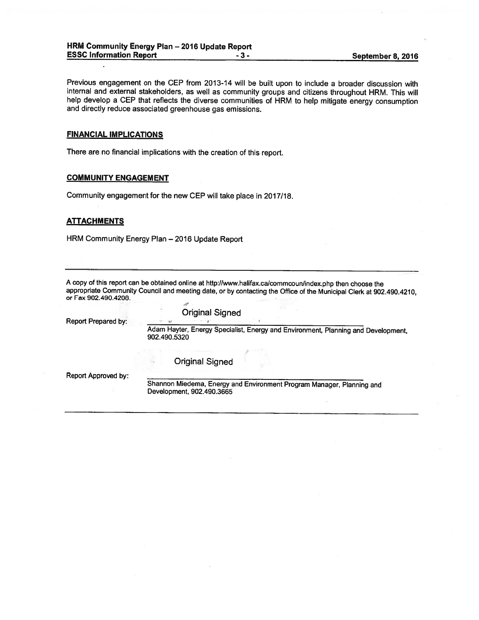Previous engagement on the CEP from 2013-14 will be built upon to include <sup>a</sup> broader discussion with internal and external stakeholders, as well as community groups and citizens throughout HRM. This will help develop a CEP that reflects the diverse communities of HRM to help mitigate energy consumption and directly reduce associated greenhouse gas emissions. HRM Community Energy Plan – 2016 Update Report<br>
ESSC Information Report<br>
Previous engagement on the CEP from 2013-14 will be built upon to include a broader<br>
Internal and external stakeholders, as well as communities of HR

#### FINANCIAL IMPLICATIONS

There are no financial implications with the creation of this report.

#### COMMUNITY ENGAGEMENT

Community engagement for the new CEP will take <sup>p</sup>lace in 2017/18.

#### **ATTACHMENTS**

HRM Community Energy Plan —2016 Update Report

<sup>A</sup> copy of this repor<sup>t</sup> can be obtained online at http://www.halifax.calcommcoun/index.php then choose the appropriate Community Council and meeting date, or by contacting the Office of the Municipal Clerk at 902.490.4210, or Fax 902.490.4208.

| Report Prepared by: | <b>Original Signed</b>                                                                             |
|---------------------|----------------------------------------------------------------------------------------------------|
|                     | Adam Hayter, Energy Specialist, Energy and Environment, Planning and Development,<br>902.490.5320  |
|                     | <b>Original Signed</b>                                                                             |
| Report Approved by: | Shannon Miedema, Energy and Environment Program Manager, Planning and<br>Development, 902.490.3665 |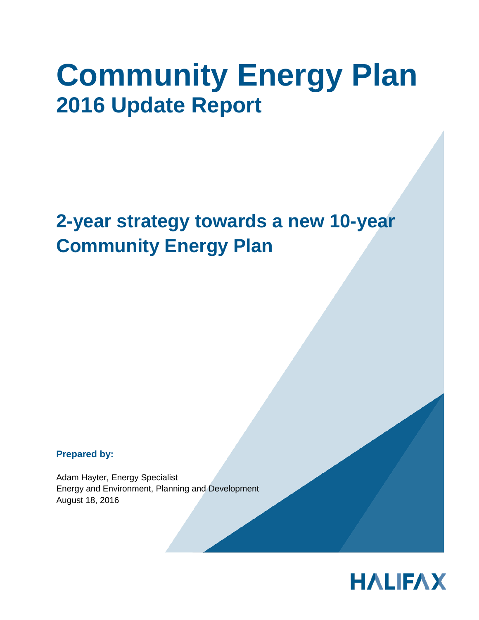# **Community Energy Plan 2016 Update Report**

# **2-year strategy towards a new 10-year Community Energy Plan**

**Prepared by:** 

Adam Hayter, Energy Specialist Energy and Environment, Planning and Development August 18, 2016

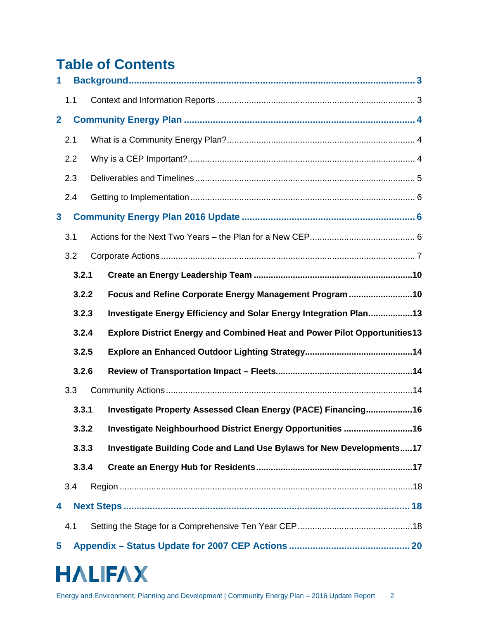# **Table of Contents**

| 1            |       |                                                                                  |  |
|--------------|-------|----------------------------------------------------------------------------------|--|
|              | 1.1   |                                                                                  |  |
| $\mathbf{2}$ |       |                                                                                  |  |
|              | 2.1   |                                                                                  |  |
|              | 2.2   |                                                                                  |  |
|              | 2.3   |                                                                                  |  |
|              | 2.4   |                                                                                  |  |
| $\mathbf{3}$ |       |                                                                                  |  |
|              | 3.1   |                                                                                  |  |
|              | 3.2   |                                                                                  |  |
|              | 3.2.1 |                                                                                  |  |
|              | 3.2.2 | Focus and Refine Corporate Energy Management Program 10                          |  |
|              | 3.2.3 | Investigate Energy Efficiency and Solar Energy Integration Plan13                |  |
|              | 3.2.4 | <b>Explore District Energy and Combined Heat and Power Pilot Opportunities13</b> |  |
|              | 3.2.5 |                                                                                  |  |
|              | 3.2.6 |                                                                                  |  |
|              | 3.3   |                                                                                  |  |
|              | 3.3.1 | Investigate Property Assessed Clean Energy (PACE) Financing16                    |  |
|              | 3.3.2 | Investigate Neighbourhood District Energy Opportunities 16                       |  |
|              | 3.3.3 | Investigate Building Code and Land Use Bylaws for New Developments17             |  |
|              | 3.3.4 |                                                                                  |  |
|              | 3.4   |                                                                                  |  |
| 4            |       |                                                                                  |  |
|              | 4.1   |                                                                                  |  |
| 5            |       |                                                                                  |  |

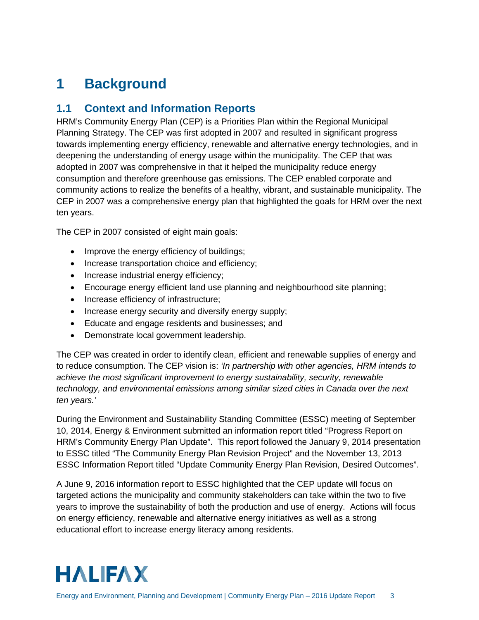# <span id="page-7-0"></span>**1 Background**

# <span id="page-7-1"></span>**1.1 Context and Information Reports**

HRM's Community Energy Plan (CEP) is a Priorities Plan within the Regional Municipal Planning Strategy. The CEP was first adopted in 2007 and resulted in significant progress towards implementing energy efficiency, renewable and alternative energy technologies, and in deepening the understanding of energy usage within the municipality. The CEP that was adopted in 2007 was comprehensive in that it helped the municipality reduce energy consumption and therefore greenhouse gas emissions. The CEP enabled corporate and community actions to realize the benefits of a healthy, vibrant, and sustainable municipality. The CEP in 2007 was a comprehensive energy plan that highlighted the goals for HRM over the next ten years.

The CEP in 2007 consisted of eight main goals:

- Improve the energy efficiency of buildings;
- Increase transportation choice and efficiency;
- Increase industrial energy efficiency;
- Encourage energy efficient land use planning and neighbourhood site planning;
- Increase efficiency of infrastructure;
- Increase energy security and diversify energy supply;
- Educate and engage residents and businesses; and
- Demonstrate local government leadership.

The CEP was created in order to identify clean, efficient and renewable supplies of energy and to reduce consumption. The CEP vision is: *'In partnership with other agencies, HRM intends to achieve the most significant improvement to energy sustainability, security, renewable technology, and environmental emissions among similar sized cities in Canada over the next ten years.'*

During the Environment and Sustainability Standing Committee (ESSC) meeting of September 10, 2014, Energy & Environment submitted an information report titled "Progress Report on HRM's Community Energy Plan Update". This report followed the January 9, 2014 presentation to ESSC titled "The Community Energy Plan Revision Project" and the November 13, 2013 ESSC Information Report titled "Update Community Energy Plan Revision, Desired Outcomes".

A June 9, 2016 information report to ESSC highlighted that the CEP update will focus on targeted actions the municipality and community stakeholders can take within the two to five years to improve the sustainability of both the production and use of energy. Actions will focus on energy efficiency, renewable and alternative energy initiatives as well as a strong educational effort to increase energy literacy among residents.

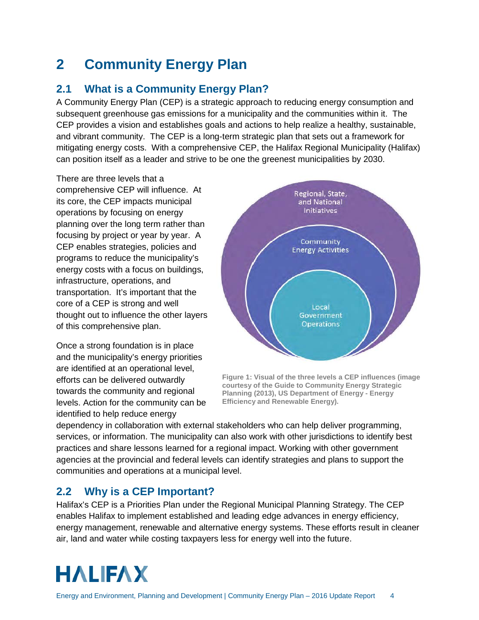# <span id="page-8-0"></span>**2 Community Energy Plan**

# <span id="page-8-1"></span>**2.1 What is a Community Energy Plan?**

A Community Energy Plan (CEP) is a strategic approach to reducing energy consumption and subsequent greenhouse gas emissions for a municipality and the communities within it. The CEP provides a vision and establishes goals and actions to help realize a healthy, sustainable, and vibrant community. The CEP is a long-term strategic plan that sets out a framework for mitigating energy costs. With a comprehensive CEP, the Halifax Regional Municipality (Halifax) can position itself as a leader and strive to be one the greenest municipalities by 2030.

There are three levels that a comprehensive CEP will influence. At its core, the CEP impacts municipal operations by focusing on energy planning over the long term rather than focusing by project or year by year. A CEP enables strategies, policies and programs to reduce the municipality's energy costs with a focus on buildings, infrastructure, operations, and transportation. It's important that the core of a CEP is strong and well thought out to influence the other layers of this comprehensive plan.

Once a strong foundation is in place and the municipality's energy priorities are identified at an operational level, efforts can be delivered outwardly towards the community and regional levels. Action for the community can be identified to help reduce energy



**Figure 1: Visual of the three levels a CEP influences (image courtesy of the Guide to Community Energy Strategic Planning (2013), US Department of Energy - Energy Efficiency and Renewable Energy).**

dependency in collaboration with external stakeholders who can help deliver programming, services, or information. The municipality can also work with other jurisdictions to identify best practices and share lessons learned for a regional impact. Working with other government agencies at the provincial and federal levels can identify strategies and plans to support the communities and operations at a municipal level.

# <span id="page-8-2"></span>**2.2 Why is a CEP Important?**

Halifax's CEP is a Priorities Plan under the Regional Municipal Planning Strategy. The CEP enables Halifax to implement established and leading edge advances in energy efficiency, energy management, renewable and alternative energy systems. These efforts result in cleaner air, land and water while costing taxpayers less for energy well into the future.

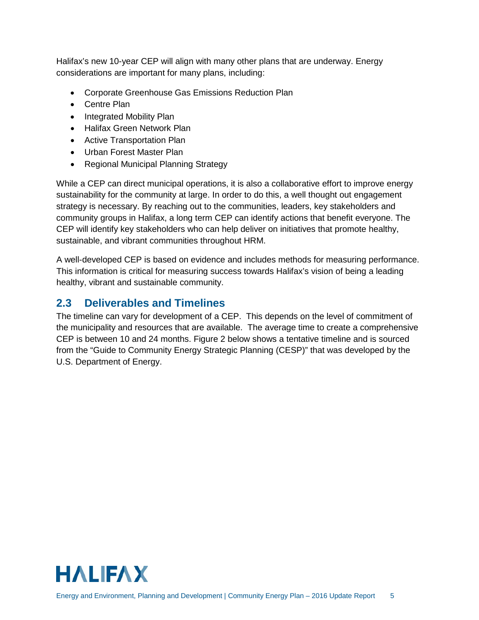Halifax's new 10-year CEP will align with many other plans that are underway. Energy considerations are important for many plans, including:

- Corporate Greenhouse Gas Emissions Reduction Plan
- Centre Plan
- Integrated Mobility Plan
- Halifax Green Network Plan
- Active Transportation Plan
- Urban Forest Master Plan
- Regional Municipal Planning Strategy

While a CEP can direct municipal operations, it is also a collaborative effort to improve energy sustainability for the community at large. In order to do this, a well thought out engagement strategy is necessary. By reaching out to the communities, leaders, key stakeholders and community groups in Halifax, a long term CEP can identify actions that benefit everyone. The CEP will identify key stakeholders who can help deliver on initiatives that promote healthy, sustainable, and vibrant communities throughout HRM.

A well-developed CEP is based on evidence and includes methods for measuring performance. This information is critical for measuring success towards Halifax's vision of being a leading healthy, vibrant and sustainable community.

# <span id="page-9-0"></span>**2.3 Deliverables and Timelines**

The timeline can vary for development of a CEP. This depends on the level of commitment of the municipality and resources that are available. The average time to create a comprehensive CEP is between 10 and 24 months. Figure 2 below shows a tentative timeline and is sourced from the "Guide to Community Energy Strategic Planning (CESP)" that was developed by the U.S. Department of Energy.

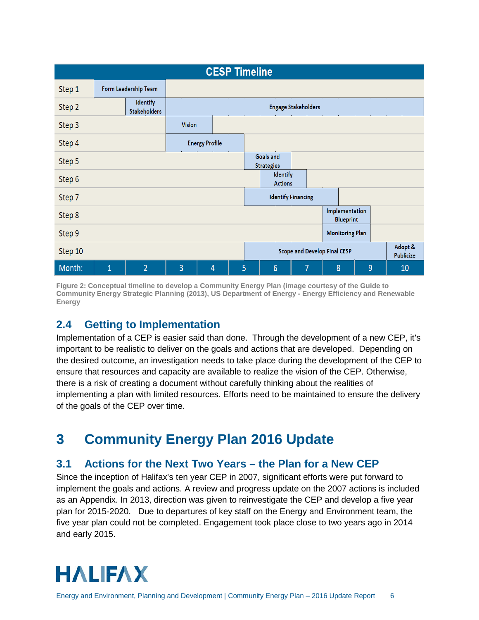|         | <b>CESP Timeline</b> |                                 |                                                             |                       |   |  |                            |   |   |                                    |   |  |    |
|---------|----------------------|---------------------------------|-------------------------------------------------------------|-----------------------|---|--|----------------------------|---|---|------------------------------------|---|--|----|
| Step 1  |                      | Form Leadership Team            |                                                             |                       |   |  |                            |   |   |                                    |   |  |    |
| Step 2  |                      | Identify<br><b>Stakeholders</b> |                                                             |                       |   |  | <b>Engage Stakeholders</b> |   |   |                                    |   |  |    |
| Step 3  |                      |                                 | <b>Vision</b>                                               |                       |   |  |                            |   |   |                                    |   |  |    |
| Step 4  |                      |                                 |                                                             | <b>Energy Profile</b> |   |  |                            |   |   |                                    |   |  |    |
| Step 5  |                      |                                 | Goals and<br><b>Strategies</b>                              |                       |   |  |                            |   |   |                                    |   |  |    |
| Step 6  |                      |                                 |                                                             |                       |   |  | Identify<br><b>Actions</b> |   |   |                                    |   |  |    |
| Step 7  |                      |                                 |                                                             |                       |   |  | <b>Identify Financing</b>  |   |   |                                    |   |  |    |
| Step 8  |                      |                                 |                                                             |                       |   |  |                            |   |   | Implementation<br><b>Blueprint</b> |   |  |    |
| Step 9  |                      |                                 | <b>Monitoring Plan</b>                                      |                       |   |  |                            |   |   |                                    |   |  |    |
| Step 10 |                      |                                 | Adopt &<br>Scope and Develop Final CESP<br><b>Publicize</b> |                       |   |  |                            |   |   |                                    |   |  |    |
| Month:  | $\overline{1}$       | $\overline{2}$                  | 3                                                           | 4                     | 5 |  | 6                          | 7 | 8 |                                    | 9 |  | 10 |

**Figure 2: Conceptual timeline to develop a Community Energy Plan (image courtesy of the Guide to Community Energy Strategic Planning (2013), US Department of Energy - Energy Efficiency and Renewable Energy**

# <span id="page-10-0"></span>**2.4 Getting to Implementation**

Implementation of a CEP is easier said than done. Through the development of a new CEP, it's important to be realistic to deliver on the goals and actions that are developed. Depending on the desired outcome, an investigation needs to take place during the development of the CEP to ensure that resources and capacity are available to realize the vision of the CEP. Otherwise, there is a risk of creating a document without carefully thinking about the realities of implementing a plan with limited resources. Efforts need to be maintained to ensure the delivery of the goals of the CEP over time.

# <span id="page-10-1"></span>**3 Community Energy Plan 2016 Update**

### <span id="page-10-2"></span>**3.1 Actions for the Next Two Years – the Plan for a New CEP**

Since the inception of Halifax's ten year CEP in 2007, significant efforts were put forward to implement the goals and actions. A review and progress update on the 2007 actions is included as an Appendix. In 2013, direction was given to reinvestigate the CEP and develop a five year plan for 2015-2020. Due to departures of key staff on the Energy and Environment team, the five year plan could not be completed. Engagement took place close to two years ago in 2014 and early 2015.

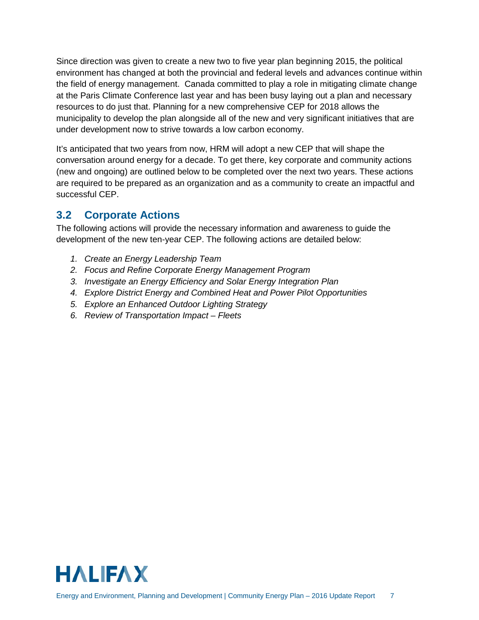Since direction was given to create a new two to five year plan beginning 2015, the political environment has changed at both the provincial and federal levels and advances continue within the field of energy management. Canada committed to play a role in mitigating climate change at the Paris Climate Conference last year and has been busy laying out a plan and necessary resources to do just that. Planning for a new comprehensive CEP for 2018 allows the municipality to develop the plan alongside all of the new and very significant initiatives that are under development now to strive towards a low carbon economy.

It's anticipated that two years from now, HRM will adopt a new CEP that will shape the conversation around energy for a decade. To get there, key corporate and community actions (new and ongoing) are outlined below to be completed over the next two years. These actions are required to be prepared as an organization and as a community to create an impactful and successful CEP.

# <span id="page-11-0"></span>**3.2 Corporate Actions**

The following actions will provide the necessary information and awareness to guide the development of the new ten-year CEP. The following actions are detailed below:

- *1. Create an Energy Leadership Team*
- *2. Focus and Refine Corporate Energy Management Program*
- *3. Investigate an Energy Efficiency and Solar Energy Integration Plan*
- *4. Explore District Energy and Combined Heat and Power Pilot Opportunities*
- *5. Explore an Enhanced Outdoor Lighting Strategy*
- *6. Review of Transportation Impact – Fleets*

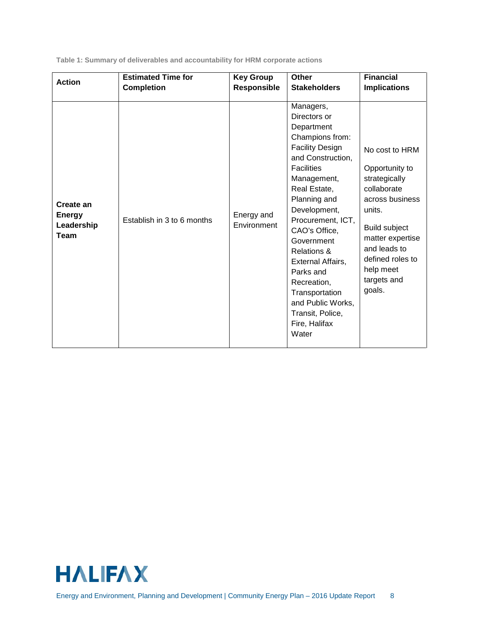**Table 1: Summary of deliverables and accountability for HRM corporate actions**

| <b>Action</b>                                           | <b>Estimated Time for</b>  | <b>Key Group</b>          | <b>Other</b>                                                                                                                                                                                                                                                                                                                                                                                                      | <b>Financial</b>                                                                                                                                                                                             |
|---------------------------------------------------------|----------------------------|---------------------------|-------------------------------------------------------------------------------------------------------------------------------------------------------------------------------------------------------------------------------------------------------------------------------------------------------------------------------------------------------------------------------------------------------------------|--------------------------------------------------------------------------------------------------------------------------------------------------------------------------------------------------------------|
|                                                         | <b>Completion</b>          | Responsible               | <b>Stakeholders</b>                                                                                                                                                                                                                                                                                                                                                                                               | <b>Implications</b>                                                                                                                                                                                          |
| Create an<br><b>Energy</b><br>Leadership<br><b>Team</b> | Establish in 3 to 6 months | Energy and<br>Environment | Managers,<br>Directors or<br>Department<br>Champions from:<br><b>Facility Design</b><br>and Construction,<br><b>Facilities</b><br>Management,<br>Real Estate,<br>Planning and<br>Development,<br>Procurement, ICT,<br>CAO's Office,<br>Government<br><b>Relations &amp;</b><br>External Affairs,<br>Parks and<br>Recreation,<br>Transportation<br>and Public Works,<br>Transit, Police,<br>Fire, Halifax<br>Water | No cost to HRM<br>Opportunity to<br>strategically<br>collaborate<br>across business<br>units.<br>Build subject<br>matter expertise<br>and leads to<br>defined roles to<br>help meet<br>targets and<br>goals. |

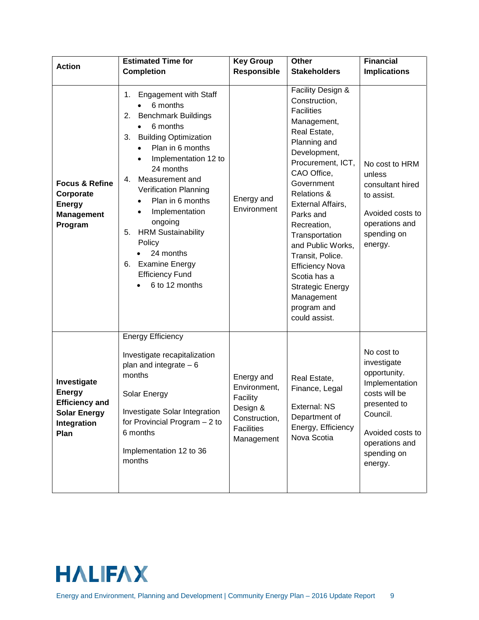| <b>Action</b>                                                                                       | <b>Estimated Time for</b>                                                                                                                                                                                                                                                                                                                                                                                                                                                                                                   | <b>Key Group</b>                                                                                       | <b>Other</b>                                                                                                                                                                                                                                                                                                                                                                                                                                             | <b>Financial</b>                                                                                                                                                         |
|-----------------------------------------------------------------------------------------------------|-----------------------------------------------------------------------------------------------------------------------------------------------------------------------------------------------------------------------------------------------------------------------------------------------------------------------------------------------------------------------------------------------------------------------------------------------------------------------------------------------------------------------------|--------------------------------------------------------------------------------------------------------|----------------------------------------------------------------------------------------------------------------------------------------------------------------------------------------------------------------------------------------------------------------------------------------------------------------------------------------------------------------------------------------------------------------------------------------------------------|--------------------------------------------------------------------------------------------------------------------------------------------------------------------------|
| <b>Focus &amp; Refine</b><br>Corporate<br><b>Energy</b><br><b>Management</b><br>Program             | <b>Completion</b><br><b>Engagement with Staff</b><br>1.<br>6 months<br><b>Benchmark Buildings</b><br>2.<br>6 months<br>$\bullet$<br><b>Building Optimization</b><br>3.<br>Plan in 6 months<br>$\bullet$<br>Implementation 12 to<br>$\bullet$<br>24 months<br>Measurement and<br>4.<br>Verification Planning<br>Plan in 6 months<br>$\bullet$<br>Implementation<br>$\bullet$<br>ongoing<br><b>HRM Sustainability</b><br>5.<br>Policy<br>24 months<br><b>Examine Energy</b><br>6.<br><b>Efficiency Fund</b><br>6 to 12 months | Responsible<br>Energy and<br>Environment                                                               | <b>Stakeholders</b><br>Facility Design &<br>Construction,<br><b>Facilities</b><br>Management,<br>Real Estate,<br>Planning and<br>Development,<br>Procurement, ICT,<br>CAO Office,<br>Government<br><b>Relations &amp;</b><br>External Affairs,<br>Parks and<br>Recreation,<br>Transportation<br>and Public Works,<br>Transit, Police.<br><b>Efficiency Nova</b><br>Scotia has a<br><b>Strategic Energy</b><br>Management<br>program and<br>could assist. | <b>Implications</b><br>No cost to HRM<br>unless<br>consultant hired<br>to assist.<br>Avoided costs to<br>operations and<br>spending on<br>energy.                        |
| Investigate<br><b>Energy</b><br><b>Efficiency and</b><br><b>Solar Energy</b><br>Integration<br>Plan | <b>Energy Efficiency</b><br>Investigate recapitalization<br>plan and integrate $-6$<br>months<br>Solar Energy<br>Investigate Solar Integration<br>for Provincial Program $-2$ to<br>6 months<br>Implementation 12 to 36<br>months                                                                                                                                                                                                                                                                                           | Energy and<br>Environment,<br>Facility<br>Design &<br>Construction,<br><b>Facilities</b><br>Management | Real Estate,<br>Finance, Legal<br>External: NS<br>Department of<br>Energy, Efficiency<br>Nova Scotia                                                                                                                                                                                                                                                                                                                                                     | No cost to<br>investigate<br>opportunity.<br>Implementation<br>costs will be<br>presented to<br>Council.<br>Avoided costs to<br>operations and<br>spending on<br>energy. |

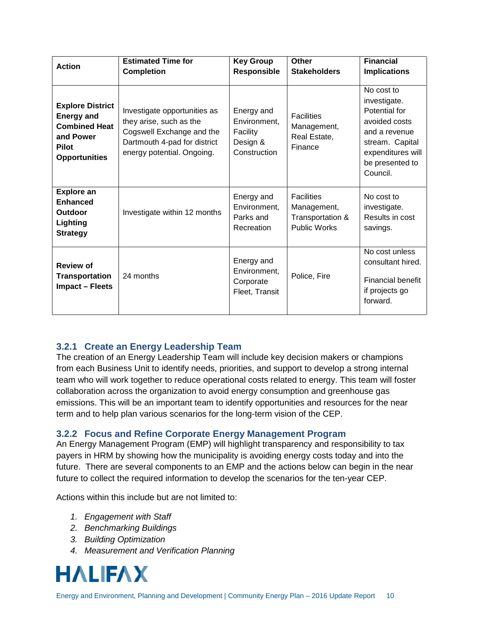| <b>Action</b>                                                                                                             | <b>Estimated Time for</b><br><b>Completion</b>                                                                                                     | <b>Key Group</b><br><b>Responsible</b>                             | Other<br><b>Stakeholders</b>                                                | <b>Financial</b><br><b>Implications</b>                                                                                                              |
|---------------------------------------------------------------------------------------------------------------------------|----------------------------------------------------------------------------------------------------------------------------------------------------|--------------------------------------------------------------------|-----------------------------------------------------------------------------|------------------------------------------------------------------------------------------------------------------------------------------------------|
| <b>Explore District</b><br><b>Energy and</b><br><b>Combined Heat</b><br>and Power<br><b>Pilot</b><br><b>Opportunities</b> | Investigate opportunities as<br>they arise, such as the<br>Cogswell Exchange and the<br>Dartmouth 4-pad for district<br>energy potential. Ongoing. | Energy and<br>Environment,<br>Facility<br>Design &<br>Construction | <b>Facilities</b><br>Management,<br>Real Estate,<br>Finance                 | No cost to<br>investigate.<br>Potential for<br>avoided costs<br>and a revenue<br>stream. Capital<br>expenditures will<br>be presented to<br>Council. |
| <b>Explore an</b><br><b>Enhanced</b><br>Outdoor<br>Lighting<br><b>Strategy</b>                                            | Investigate within 12 months                                                                                                                       | Energy and<br>Environment,<br>Parks and<br>Recreation              | <b>Facilities</b><br>Management,<br>Transportation &<br><b>Public Works</b> | No cost to<br>investigate.<br>Results in cost<br>savings.                                                                                            |
| <b>Review of</b><br><b>Transportation</b><br><b>Impact - Fleets</b>                                                       | 24 months                                                                                                                                          | Energy and<br>Environment,<br>Corporate<br>Fleet, Transit          | Police, Fire                                                                | No cost unless<br>consultant hired.<br><b>Financial benefit</b><br>if projects go<br>forward.                                                        |

### <span id="page-14-0"></span>**3.2.1 Create an Energy Leadership Team**

The creation of an Energy Leadership Team will include key decision makers or champions from each Business Unit to identify needs, priorities, and support to develop a strong internal team who will work together to reduce operational costs related to energy. This team will foster collaboration across the organization to avoid energy consumption and greenhouse gas emissions. This will be an important team to identify opportunities and resources for the near term and to help plan various scenarios for the long-term vision of the CEP.

### <span id="page-14-1"></span>**3.2.2 Focus and Refine Corporate Energy Management Program**

An Energy Management Program (EMP) will highlight transparency and responsibility to tax payers in HRM by showing how the municipality is avoiding energy costs today and into the future. There are several components to an EMP and the actions below can begin in the near future to collect the required information to develop the scenarios for the ten-year CEP.

Actions within this include but are not limited to:

- *1. Engagement with Staff*
- *2. Benchmarking Buildings*
- *3. Building Optimization*
- *4. Measurement and Verification Planning*

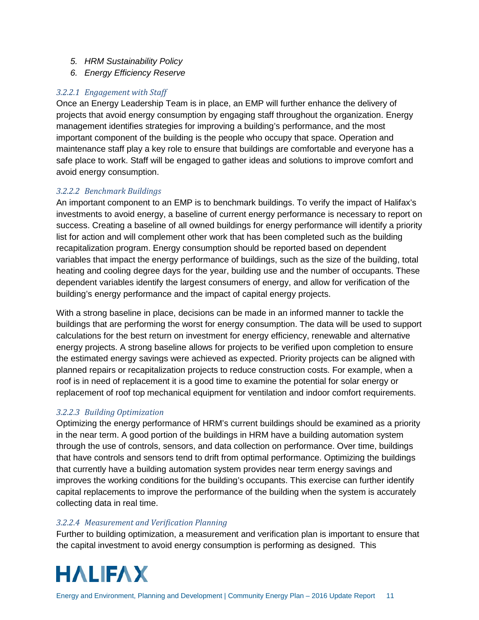- *5. HRM Sustainability Policy*
- *6. Energy Efficiency Reserve*

### *3.2.2.1 Engagement with Staff*

Once an Energy Leadership Team is in place, an EMP will further enhance the delivery of projects that avoid energy consumption by engaging staff throughout the organization. Energy management identifies strategies for improving a building's performance, and the most important component of the building is the people who occupy that space. Operation and maintenance staff play a key role to ensure that buildings are comfortable and everyone has a safe place to work. Staff will be engaged to gather ideas and solutions to improve comfort and avoid energy consumption.

### *3.2.2.2 Benchmark Buildings*

An important component to an EMP is to benchmark buildings. To verify the impact of Halifax's investments to avoid energy, a baseline of current energy performance is necessary to report on success. Creating a baseline of all owned buildings for energy performance will identify a priority list for action and will complement other work that has been completed such as the building recapitalization program. Energy consumption should be reported based on dependent variables that impact the energy performance of buildings, such as the size of the building, total heating and cooling degree days for the year, building use and the number of occupants. These dependent variables identify the largest consumers of energy, and allow for verification of the building's energy performance and the impact of capital energy projects.

With a strong baseline in place, decisions can be made in an informed manner to tackle the buildings that are performing the worst for energy consumption. The data will be used to support calculations for the best return on investment for energy efficiency, renewable and alternative energy projects. A strong baseline allows for projects to be verified upon completion to ensure the estimated energy savings were achieved as expected. Priority projects can be aligned with planned repairs or recapitalization projects to reduce construction costs. For example, when a roof is in need of replacement it is a good time to examine the potential for solar energy or replacement of roof top mechanical equipment for ventilation and indoor comfort requirements.

### *3.2.2.3 Building Optimization*

Optimizing the energy performance of HRM's current buildings should be examined as a priority in the near term. A good portion of the buildings in HRM have a building automation system through the use of controls, sensors, and data collection on performance. Over time, buildings that have controls and sensors tend to drift from optimal performance. Optimizing the buildings that currently have a building automation system provides near term energy savings and improves the working conditions for the building's occupants. This exercise can further identify capital replacements to improve the performance of the building when the system is accurately collecting data in real time.

### *3.2.2.4 Measurement and Verification Planning*

Further to building optimization, a measurement and verification plan is important to ensure that the capital investment to avoid energy consumption is performing as designed. This

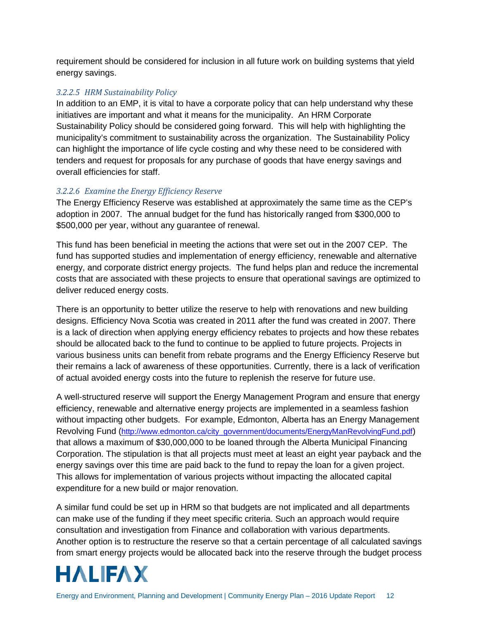requirement should be considered for inclusion in all future work on building systems that yield energy savings.

### *3.2.2.5 HRM Sustainability Policy*

In addition to an EMP, it is vital to have a corporate policy that can help understand why these initiatives are important and what it means for the municipality. An HRM Corporate Sustainability Policy should be considered going forward. This will help with highlighting the municipality's commitment to sustainability across the organization. The Sustainability Policy can highlight the importance of life cycle costing and why these need to be considered with tenders and request for proposals for any purchase of goods that have energy savings and overall efficiencies for staff.

### *3.2.2.6 Examine the Energy Efficiency Reserve*

The Energy Efficiency Reserve was established at approximately the same time as the CEP's adoption in 2007. The annual budget for the fund has historically ranged from \$300,000 to \$500,000 per year, without any guarantee of renewal.

This fund has been beneficial in meeting the actions that were set out in the 2007 CEP. The fund has supported studies and implementation of energy efficiency, renewable and alternative energy, and corporate district energy projects. The fund helps plan and reduce the incremental costs that are associated with these projects to ensure that operational savings are optimized to deliver reduced energy costs.

There is an opportunity to better utilize the reserve to help with renovations and new building designs. Efficiency Nova Scotia was created in 2011 after the fund was created in 2007. There is a lack of direction when applying energy efficiency rebates to projects and how these rebates should be allocated back to the fund to continue to be applied to future projects. Projects in various business units can benefit from rebate programs and the Energy Efficiency Reserve but their remains a lack of awareness of these opportunities. Currently, there is a lack of verification of actual avoided energy costs into the future to replenish the reserve for future use.

A well-structured reserve will support the Energy Management Program and ensure that energy efficiency, renewable and alternative energy projects are implemented in a seamless fashion without impacting other budgets. For example, Edmonton, Alberta has an Energy Management Revolving Fund [\(http://www.edmonton.ca/city\\_government/documents/EnergyManRevolvingFund.pdf\)](http://www.edmonton.ca/city_government/documents/EnergyManRevolvingFund.pdf) that allows a maximum of \$30,000,000 to be loaned through the Alberta Municipal Financing Corporation. The stipulation is that all projects must meet at least an eight year payback and the energy savings over this time are paid back to the fund to repay the loan for a given project. This allows for implementation of various projects without impacting the allocated capital expenditure for a new build or major renovation.

A similar fund could be set up in HRM so that budgets are not implicated and all departments can make use of the funding if they meet specific criteria. Such an approach would require consultation and investigation from Finance and collaboration with various departments. Another option is to restructure the reserve so that a certain percentage of all calculated savings from smart energy projects would be allocated back into the reserve through the budget process

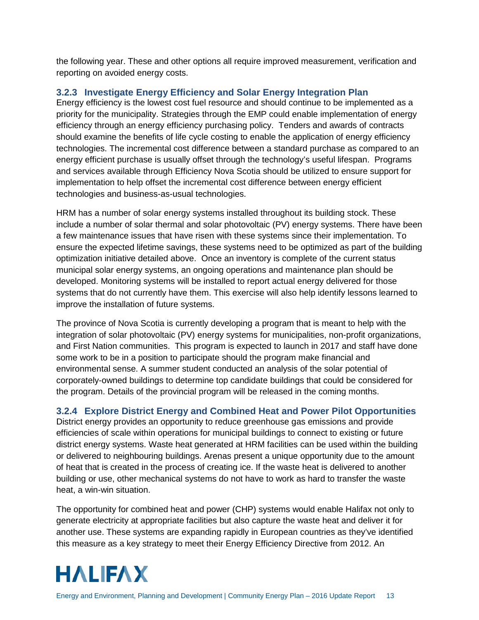the following year. These and other options all require improved measurement, verification and reporting on avoided energy costs.

### <span id="page-17-0"></span>**3.2.3 Investigate Energy Efficiency and Solar Energy Integration Plan**

Energy efficiency is the lowest cost fuel resource and should continue to be implemented as a priority for the municipality. Strategies through the EMP could enable implementation of energy efficiency through an energy efficiency purchasing policy. Tenders and awards of contracts should examine the benefits of life cycle costing to enable the application of energy efficiency technologies. The incremental cost difference between a standard purchase as compared to an energy efficient purchase is usually offset through the technology's useful lifespan. Programs and services available through Efficiency Nova Scotia should be utilized to ensure support for implementation to help offset the incremental cost difference between energy efficient technologies and business-as-usual technologies.

HRM has a number of solar energy systems installed throughout its building stock. These include a number of solar thermal and solar photovoltaic (PV) energy systems. There have been a few maintenance issues that have risen with these systems since their implementation. To ensure the expected lifetime savings, these systems need to be optimized as part of the building optimization initiative detailed above. Once an inventory is complete of the current status municipal solar energy systems, an ongoing operations and maintenance plan should be developed. Monitoring systems will be installed to report actual energy delivered for those systems that do not currently have them. This exercise will also help identify lessons learned to improve the installation of future systems.

The province of Nova Scotia is currently developing a program that is meant to help with the integration of solar photovoltaic (PV) energy systems for municipalities, non-profit organizations, and First Nation communities. This program is expected to launch in 2017 and staff have done some work to be in a position to participate should the program make financial and environmental sense. A summer student conducted an analysis of the solar potential of corporately-owned buildings to determine top candidate buildings that could be considered for the program. Details of the provincial program will be released in the coming months.

### <span id="page-17-1"></span>**3.2.4 Explore District Energy and Combined Heat and Power Pilot Opportunities**

District energy provides an opportunity to reduce greenhouse gas emissions and provide efficiencies of scale within operations for municipal buildings to connect to existing or future district energy systems. Waste heat generated at HRM facilities can be used within the building or delivered to neighbouring buildings. Arenas present a unique opportunity due to the amount of heat that is created in the process of creating ice. If the waste heat is delivered to another building or use, other mechanical systems do not have to work as hard to transfer the waste heat, a win-win situation.

The opportunity for combined heat and power (CHP) systems would enable Halifax not only to generate electricity at appropriate facilities but also capture the waste heat and deliver it for another use. These systems are expanding rapidly in European countries as they've identified this measure as a key strategy to meet their Energy Efficiency Directive from 2012. An

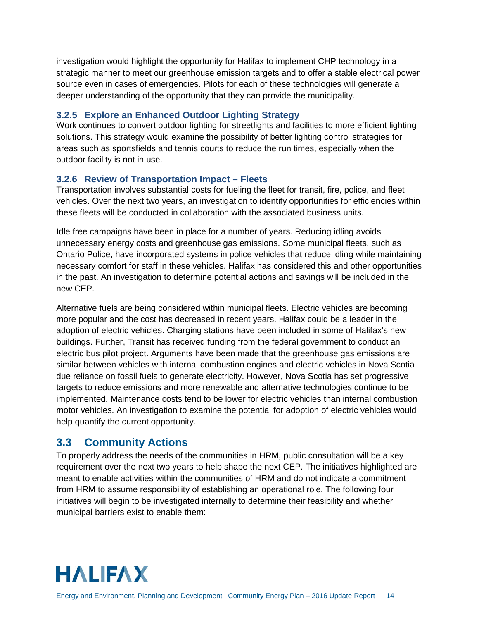investigation would highlight the opportunity for Halifax to implement CHP technology in a strategic manner to meet our greenhouse emission targets and to offer a stable electrical power source even in cases of emergencies. Pilots for each of these technologies will generate a deeper understanding of the opportunity that they can provide the municipality.

### <span id="page-18-0"></span>**3.2.5 Explore an Enhanced Outdoor Lighting Strategy**

Work continues to convert outdoor lighting for streetlights and facilities to more efficient lighting solutions. This strategy would examine the possibility of better lighting control strategies for areas such as sportsfields and tennis courts to reduce the run times, especially when the outdoor facility is not in use.

### <span id="page-18-1"></span>**3.2.6 Review of Transportation Impact – Fleets**

Transportation involves substantial costs for fueling the fleet for transit, fire, police, and fleet vehicles. Over the next two years, an investigation to identify opportunities for efficiencies within these fleets will be conducted in collaboration with the associated business units.

Idle free campaigns have been in place for a number of years. Reducing idling avoids unnecessary energy costs and greenhouse gas emissions. Some municipal fleets, such as Ontario Police, have incorporated systems in police vehicles that reduce idling while maintaining necessary comfort for staff in these vehicles. Halifax has considered this and other opportunities in the past. An investigation to determine potential actions and savings will be included in the new CEP.

Alternative fuels are being considered within municipal fleets. Electric vehicles are becoming more popular and the cost has decreased in recent years. Halifax could be a leader in the adoption of electric vehicles. Charging stations have been included in some of Halifax's new buildings. Further, Transit has received funding from the federal government to conduct an electric bus pilot project. Arguments have been made that the greenhouse gas emissions are similar between vehicles with internal combustion engines and electric vehicles in Nova Scotia due reliance on fossil fuels to generate electricity. However, Nova Scotia has set progressive targets to reduce emissions and more renewable and alternative technologies continue to be implemented. Maintenance costs tend to be lower for electric vehicles than internal combustion motor vehicles. An investigation to examine the potential for adoption of electric vehicles would help quantify the current opportunity.

### <span id="page-18-2"></span>**3.3 Community Actions**

To properly address the needs of the communities in HRM, public consultation will be a key requirement over the next two years to help shape the next CEP. The initiatives highlighted are meant to enable activities within the communities of HRM and do not indicate a commitment from HRM to assume responsibility of establishing an operational role. The following four initiatives will begin to be investigated internally to determine their feasibility and whether municipal barriers exist to enable them:

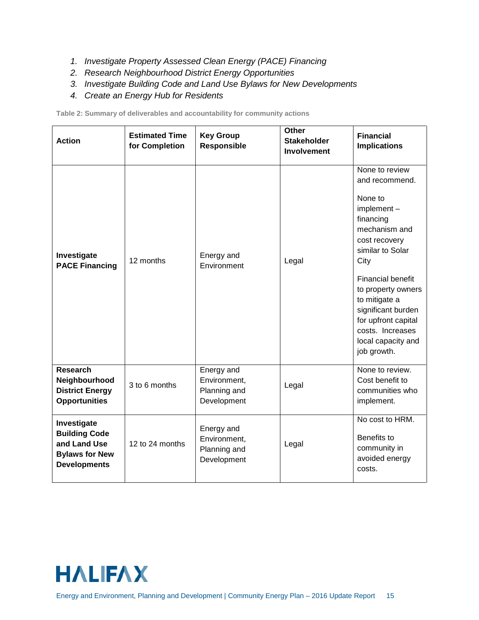- *1. Investigate Property Assessed Clean Energy (PACE) Financing*
- *2. Research Neighbourhood District Energy Opportunities*
- *3. Investigate Building Code and Land Use Bylaws for New Developments*
- *4. Create an Energy Hub for Residents*

**Table 2: Summary of deliverables and accountability for community actions**

| <b>Action</b>                                                                                       | <b>Estimated Time</b><br>for Completion | <b>Key Group</b><br><b>Responsible</b>                    | Other<br><b>Stakeholder</b><br><b>Involvement</b> | <b>Financial</b><br><b>Implications</b>                                                                                                                                                                                                                                                                          |
|-----------------------------------------------------------------------------------------------------|-----------------------------------------|-----------------------------------------------------------|---------------------------------------------------|------------------------------------------------------------------------------------------------------------------------------------------------------------------------------------------------------------------------------------------------------------------------------------------------------------------|
| Investigate<br><b>PACE Financing</b>                                                                | 12 months                               | Energy and<br>Environment                                 | Legal                                             | None to review<br>and recommend.<br>None to<br>$implement -$<br>financing<br>mechanism and<br>cost recovery<br>similar to Solar<br>City<br><b>Financial benefit</b><br>to property owners<br>to mitigate a<br>significant burden<br>for upfront capital<br>costs. Increases<br>local capacity and<br>job growth. |
| <b>Research</b><br>Neighbourhood<br><b>District Energy</b><br><b>Opportunities</b>                  | 3 to 6 months                           | Energy and<br>Environment,<br>Planning and<br>Development | Legal                                             | None to review.<br>Cost benefit to<br>communities who<br>implement.                                                                                                                                                                                                                                              |
| Investigate<br><b>Building Code</b><br>and Land Use<br><b>Bylaws for New</b><br><b>Developments</b> | 12 to 24 months                         | Energy and<br>Environment,<br>Planning and<br>Development | Legal                                             | No cost to HRM.<br>Benefits to<br>community in<br>avoided energy<br>costs.                                                                                                                                                                                                                                       |

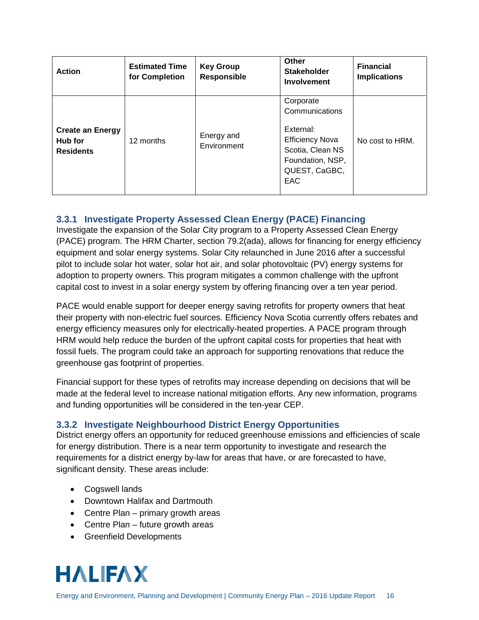| <b>Action</b>                                          | <b>Estimated Time</b><br>for Completion | <b>Key Group</b><br><b>Responsible</b> | Other<br><b>Stakeholder</b><br><b>Involvement</b>                                                                                  | <b>Financial</b><br><b>Implications</b> |
|--------------------------------------------------------|-----------------------------------------|----------------------------------------|------------------------------------------------------------------------------------------------------------------------------------|-----------------------------------------|
| <b>Create an Energy</b><br>Hub for<br><b>Residents</b> | 12 months                               | Energy and<br>Environment              | Corporate<br>Communications<br>External:<br><b>Efficiency Nova</b><br>Scotia, Clean NS<br>Foundation, NSP,<br>QUEST, CaGBC,<br>EAC | No cost to HRM.                         |

### <span id="page-20-0"></span>**3.3.1 Investigate Property Assessed Clean Energy (PACE) Financing**

Investigate the expansion of the Solar City program to a Property Assessed Clean Energy (PACE) program. The HRM Charter, section 79.2(ada), allows for financing for energy efficiency equipment and solar energy systems. Solar City relaunched in June 2016 after a successful pilot to include solar hot water, solar hot air, and solar photovoltaic (PV) energy systems for adoption to property owners. This program mitigates a common challenge with the upfront capital cost to invest in a solar energy system by offering financing over a ten year period.

PACE would enable support for deeper energy saving retrofits for property owners that heat their property with non-electric fuel sources. Efficiency Nova Scotia currently offers rebates and energy efficiency measures only for electrically-heated properties. A PACE program through HRM would help reduce the burden of the upfront capital costs for properties that heat with fossil fuels. The program could take an approach for supporting renovations that reduce the greenhouse gas footprint of properties.

Financial support for these types of retrofits may increase depending on decisions that will be made at the federal level to increase national mitigation efforts. Any new information, programs and funding opportunities will be considered in the ten-year CEP.

### <span id="page-20-1"></span>**3.3.2 Investigate Neighbourhood District Energy Opportunities**

District energy offers an opportunity for reduced greenhouse emissions and efficiencies of scale for energy distribution. There is a near term opportunity to investigate and research the requirements for a district energy by-law for areas that have, or are forecasted to have, significant density. These areas include:

- Cogswell lands
- Downtown Halifax and Dartmouth
- Centre Plan primary growth areas
- Centre Plan future growth areas
- Greenfield Developments

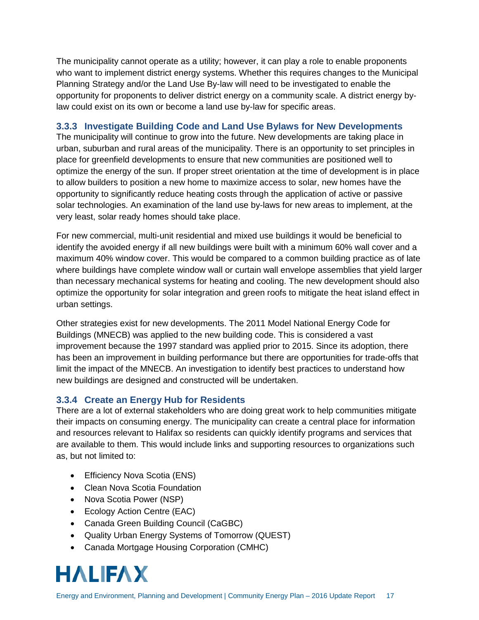The municipality cannot operate as a utility; however, it can play a role to enable proponents who want to implement district energy systems. Whether this requires changes to the Municipal Planning Strategy and/or the Land Use By-law will need to be investigated to enable the opportunity for proponents to deliver district energy on a community scale. A district energy bylaw could exist on its own or become a land use by-law for specific areas.

### <span id="page-21-0"></span>**3.3.3 Investigate Building Code and Land Use Bylaws for New Developments**

The municipality will continue to grow into the future. New developments are taking place in urban, suburban and rural areas of the municipality. There is an opportunity to set principles in place for greenfield developments to ensure that new communities are positioned well to optimize the energy of the sun. If proper street orientation at the time of development is in place to allow builders to position a new home to maximize access to solar, new homes have the opportunity to significantly reduce heating costs through the application of active or passive solar technologies. An examination of the land use by-laws for new areas to implement, at the very least, solar ready homes should take place.

For new commercial, multi-unit residential and mixed use buildings it would be beneficial to identify the avoided energy if all new buildings were built with a minimum 60% wall cover and a maximum 40% window cover. This would be compared to a common building practice as of late where buildings have complete window wall or curtain wall envelope assemblies that yield larger than necessary mechanical systems for heating and cooling. The new development should also optimize the opportunity for solar integration and green roofs to mitigate the heat island effect in urban settings.

Other strategies exist for new developments. The 2011 Model National Energy Code for Buildings (MNECB) was applied to the new building code. This is considered a vast improvement because the 1997 standard was applied prior to 2015. Since its adoption, there has been an improvement in building performance but there are opportunities for trade-offs that limit the impact of the MNECB. An investigation to identify best practices to understand how new buildings are designed and constructed will be undertaken.

### <span id="page-21-1"></span>**3.3.4 Create an Energy Hub for Residents**

There are a lot of external stakeholders who are doing great work to help communities mitigate their impacts on consuming energy. The municipality can create a central place for information and resources relevant to Halifax so residents can quickly identify programs and services that are available to them. This would include links and supporting resources to organizations such as, but not limited to:

- Efficiency Nova Scotia (ENS)
- Clean Nova Scotia Foundation
- Nova Scotia Power (NSP)
- Ecology Action Centre (EAC)
- Canada Green Building Council (CaGBC)
- Quality Urban Energy Systems of Tomorrow (QUEST)
- Canada Mortgage Housing Corporation (CMHC)

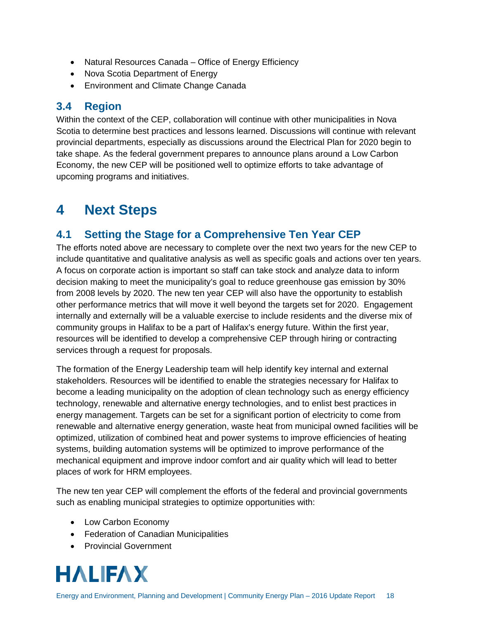- Natural Resources Canada Office of Energy Efficiency
- Nova Scotia Department of Energy
- Environment and Climate Change Canada

### <span id="page-22-0"></span>**3.4 Region**

Within the context of the CEP, collaboration will continue with other municipalities in Nova Scotia to determine best practices and lessons learned. Discussions will continue with relevant provincial departments, especially as discussions around the Electrical Plan for 2020 begin to take shape. As the federal government prepares to announce plans around a Low Carbon Economy, the new CEP will be positioned well to optimize efforts to take advantage of upcoming programs and initiatives.

# <span id="page-22-1"></span>**4 Next Steps**

### <span id="page-22-2"></span>**4.1 Setting the Stage for a Comprehensive Ten Year CEP**

The efforts noted above are necessary to complete over the next two years for the new CEP to include quantitative and qualitative analysis as well as specific goals and actions over ten years. A focus on corporate action is important so staff can take stock and analyze data to inform decision making to meet the municipality's goal to reduce greenhouse gas emission by 30% from 2008 levels by 2020. The new ten year CEP will also have the opportunity to establish other performance metrics that will move it well beyond the targets set for 2020. Engagement internally and externally will be a valuable exercise to include residents and the diverse mix of community groups in Halifax to be a part of Halifax's energy future. Within the first year, resources will be identified to develop a comprehensive CEP through hiring or contracting services through a request for proposals.

The formation of the Energy Leadership team will help identify key internal and external stakeholders. Resources will be identified to enable the strategies necessary for Halifax to become a leading municipality on the adoption of clean technology such as energy efficiency technology, renewable and alternative energy technologies, and to enlist best practices in energy management. Targets can be set for a significant portion of electricity to come from renewable and alternative energy generation, waste heat from municipal owned facilities will be optimized, utilization of combined heat and power systems to improve efficiencies of heating systems, building automation systems will be optimized to improve performance of the mechanical equipment and improve indoor comfort and air quality which will lead to better places of work for HRM employees.

The new ten year CEP will complement the efforts of the federal and provincial governments such as enabling municipal strategies to optimize opportunities with:

- Low Carbon Economy
- Federation of Canadian Municipalities
- Provincial Government

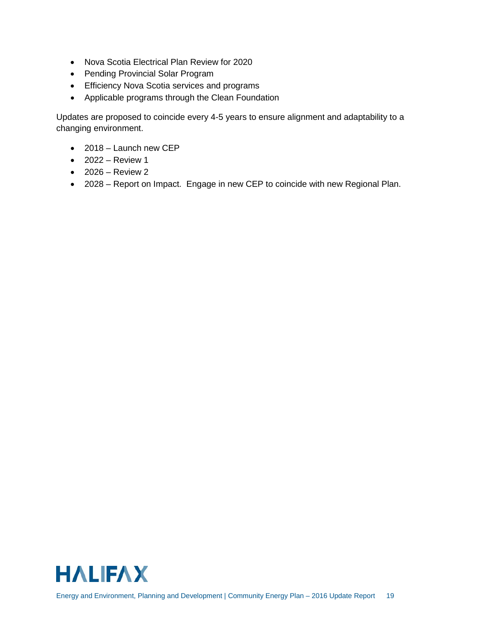- Nova Scotia Electrical Plan Review for 2020
- Pending Provincial Solar Program
- Efficiency Nova Scotia services and programs
- Applicable programs through the Clean Foundation

Updates are proposed to coincide every 4-5 years to ensure alignment and adaptability to a changing environment.

- 2018 Launch new CEP
- $\bullet$  2022 Review 1
- $\bullet$  2026 Review 2
- 2028 Report on Impact. Engage in new CEP to coincide with new Regional Plan.

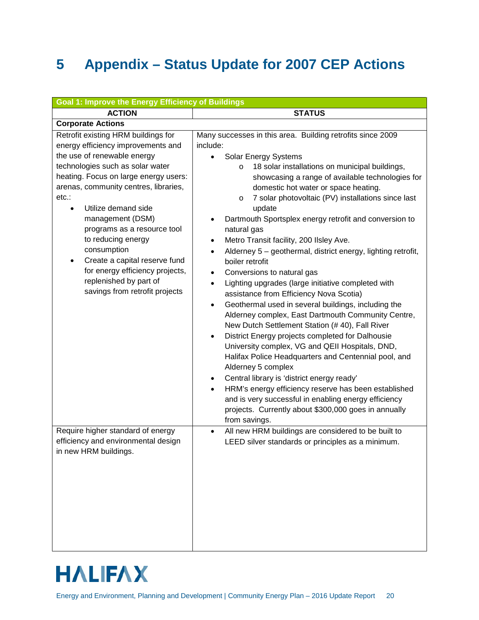# <span id="page-24-0"></span>**5 Appendix – Status Update for 2007 CEP Actions**

| <b>Goal 1: Improve the Energy Efficiency of Buildings</b>                                                                                                                                                                                                                                                                                                                                                                                                                                                |                                                                                                                                                                                                                                                                                                                                                                                                                                                                                                                                                                                                                                                                                                                                                                                                                                                                                                                                                                                                                                                                                                                                                                                                                                                                                          |  |  |
|----------------------------------------------------------------------------------------------------------------------------------------------------------------------------------------------------------------------------------------------------------------------------------------------------------------------------------------------------------------------------------------------------------------------------------------------------------------------------------------------------------|------------------------------------------------------------------------------------------------------------------------------------------------------------------------------------------------------------------------------------------------------------------------------------------------------------------------------------------------------------------------------------------------------------------------------------------------------------------------------------------------------------------------------------------------------------------------------------------------------------------------------------------------------------------------------------------------------------------------------------------------------------------------------------------------------------------------------------------------------------------------------------------------------------------------------------------------------------------------------------------------------------------------------------------------------------------------------------------------------------------------------------------------------------------------------------------------------------------------------------------------------------------------------------------|--|--|
| <b>ACTION</b>                                                                                                                                                                                                                                                                                                                                                                                                                                                                                            | <b>STATUS</b>                                                                                                                                                                                                                                                                                                                                                                                                                                                                                                                                                                                                                                                                                                                                                                                                                                                                                                                                                                                                                                                                                                                                                                                                                                                                            |  |  |
| <b>Corporate Actions</b>                                                                                                                                                                                                                                                                                                                                                                                                                                                                                 |                                                                                                                                                                                                                                                                                                                                                                                                                                                                                                                                                                                                                                                                                                                                                                                                                                                                                                                                                                                                                                                                                                                                                                                                                                                                                          |  |  |
| Retrofit existing HRM buildings for<br>energy efficiency improvements and<br>the use of renewable energy<br>technologies such as solar water<br>heating. Focus on large energy users:<br>arenas, community centres, libraries,<br>etc.:<br>Utilize demand side<br>$\bullet$<br>management (DSM)<br>programs as a resource tool<br>to reducing energy<br>consumption<br>Create a capital reserve fund<br>٠<br>for energy efficiency projects,<br>replenished by part of<br>savings from retrofit projects | Many successes in this area. Building retrofits since 2009<br>include:<br>Solar Energy Systems<br>18 solar installations on municipal buildings,<br>O<br>showcasing a range of available technologies for<br>domestic hot water or space heating.<br>7 solar photovoltaic (PV) installations since last<br>$\circ$<br>update<br>Dartmouth Sportsplex energy retrofit and conversion to<br>natural gas<br>Metro Transit facility, 200 IIsley Ave.<br>Alderney 5 - geothermal, district energy, lighting retrofit,<br>boiler retrofit<br>Conversions to natural gas<br>$\bullet$<br>Lighting upgrades (large initiative completed with<br>$\bullet$<br>assistance from Efficiency Nova Scotia)<br>Geothermal used in several buildings, including the<br>Alderney complex, East Dartmouth Community Centre,<br>New Dutch Settlement Station (#40), Fall River<br>District Energy projects completed for Dalhousie<br>$\bullet$<br>University complex, VG and QEII Hospitals, DND,<br>Halifax Police Headquarters and Centennial pool, and<br>Alderney 5 complex<br>Central library is 'district energy ready'<br>٠<br>HRM's energy efficiency reserve has been established<br>and is very successful in enabling energy efficiency<br>projects. Currently about \$300,000 goes in annually |  |  |
| Require higher standard of energy<br>efficiency and environmental design<br>in new HRM buildings.                                                                                                                                                                                                                                                                                                                                                                                                        | from savings.<br>All new HRM buildings are considered to be built to<br>$\bullet$<br>LEED silver standards or principles as a minimum.                                                                                                                                                                                                                                                                                                                                                                                                                                                                                                                                                                                                                                                                                                                                                                                                                                                                                                                                                                                                                                                                                                                                                   |  |  |

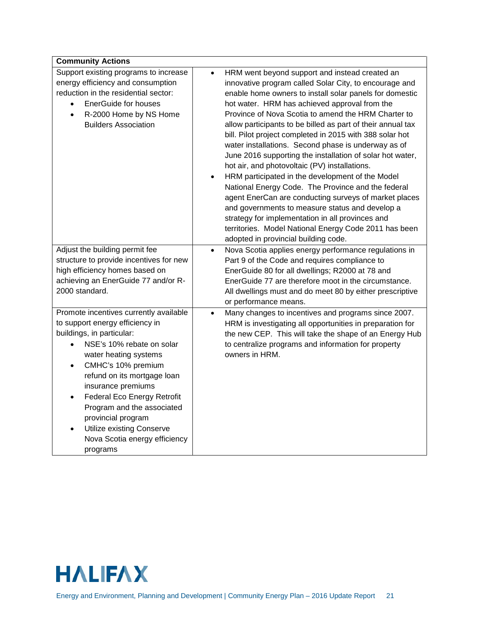| <b>Community Actions</b>                                                                                                                                                                                                                                                                                                                                                                                                                                        |                                                                                                                                                                                                                                                                                                                                                                                                                                                                                                                                                                                                                                                                                                                                                                                                                                                                                                                                                                     |
|-----------------------------------------------------------------------------------------------------------------------------------------------------------------------------------------------------------------------------------------------------------------------------------------------------------------------------------------------------------------------------------------------------------------------------------------------------------------|---------------------------------------------------------------------------------------------------------------------------------------------------------------------------------------------------------------------------------------------------------------------------------------------------------------------------------------------------------------------------------------------------------------------------------------------------------------------------------------------------------------------------------------------------------------------------------------------------------------------------------------------------------------------------------------------------------------------------------------------------------------------------------------------------------------------------------------------------------------------------------------------------------------------------------------------------------------------|
| Support existing programs to increase<br>energy efficiency and consumption<br>reduction in the residential sector:<br><b>EnerGuide for houses</b><br>$\bullet$<br>R-2000 Home by NS Home<br>$\bullet$<br><b>Builders Association</b>                                                                                                                                                                                                                            | HRM went beyond support and instead created an<br>innovative program called Solar City, to encourage and<br>enable home owners to install solar panels for domestic<br>hot water. HRM has achieved approval from the<br>Province of Nova Scotia to amend the HRM Charter to<br>allow participants to be billed as part of their annual tax<br>bill. Pilot project completed in 2015 with 388 solar hot<br>water installations. Second phase is underway as of<br>June 2016 supporting the installation of solar hot water,<br>hot air, and photovoltaic (PV) installations.<br>HRM participated in the development of the Model<br>$\bullet$<br>National Energy Code. The Province and the federal<br>agent EnerCan are conducting surveys of market places<br>and governments to measure status and develop a<br>strategy for implementation in all provinces and<br>territories. Model National Energy Code 2011 has been<br>adopted in provincial building code. |
| Adjust the building permit fee<br>structure to provide incentives for new<br>high efficiency homes based on<br>achieving an EnerGuide 77 and/or R-<br>2000 standard.                                                                                                                                                                                                                                                                                            | Nova Scotia applies energy performance regulations in<br>$\bullet$<br>Part 9 of the Code and requires compliance to<br>EnerGuide 80 for all dwellings; R2000 at 78 and<br>EnerGuide 77 are therefore moot in the circumstance.<br>All dwellings must and do meet 80 by either prescriptive<br>or performance means.                                                                                                                                                                                                                                                                                                                                                                                                                                                                                                                                                                                                                                                 |
| Promote incentives currently available<br>to support energy efficiency in<br>buildings, in particular:<br>NSE's 10% rebate on solar<br>$\bullet$<br>water heating systems<br>CMHC's 10% premium<br>$\bullet$<br>refund on its mortgage loan<br>insurance premiums<br><b>Federal Eco Energy Retrofit</b><br>$\bullet$<br>Program and the associated<br>provincial program<br>Utilize existing Conserve<br>$\bullet$<br>Nova Scotia energy efficiency<br>programs | Many changes to incentives and programs since 2007.<br>$\bullet$<br>HRM is investigating all opportunities in preparation for<br>the new CEP. This will take the shape of an Energy Hub<br>to centralize programs and information for property<br>owners in HRM.                                                                                                                                                                                                                                                                                                                                                                                                                                                                                                                                                                                                                                                                                                    |

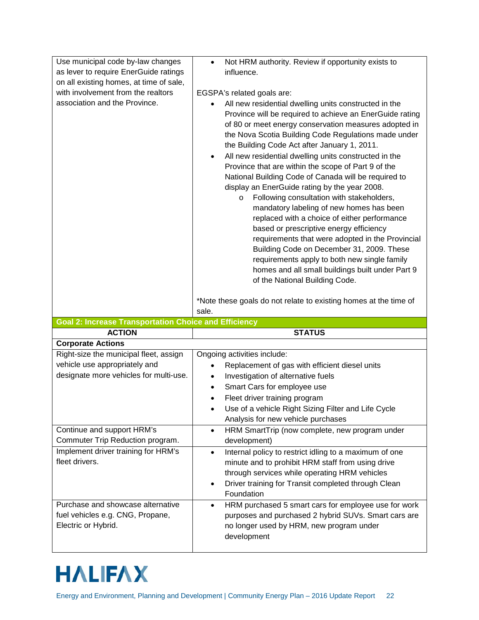| Use municipal code by-law changes                            | Not HRM authority. Review if opportunity exists to<br>$\bullet$                                                                                                                                                                                                                                                                                                                                                                                                                                                                                                                                                                                                                                                                                                                                                                                                                                                                                                |
|--------------------------------------------------------------|----------------------------------------------------------------------------------------------------------------------------------------------------------------------------------------------------------------------------------------------------------------------------------------------------------------------------------------------------------------------------------------------------------------------------------------------------------------------------------------------------------------------------------------------------------------------------------------------------------------------------------------------------------------------------------------------------------------------------------------------------------------------------------------------------------------------------------------------------------------------------------------------------------------------------------------------------------------|
| as lever to require EnerGuide ratings                        | influence.                                                                                                                                                                                                                                                                                                                                                                                                                                                                                                                                                                                                                                                                                                                                                                                                                                                                                                                                                     |
| on all existing homes, at time of sale,                      |                                                                                                                                                                                                                                                                                                                                                                                                                                                                                                                                                                                                                                                                                                                                                                                                                                                                                                                                                                |
| with involvement from the realtors                           | EGSPA's related goals are:                                                                                                                                                                                                                                                                                                                                                                                                                                                                                                                                                                                                                                                                                                                                                                                                                                                                                                                                     |
| association and the Province.                                | All new residential dwelling units constructed in the<br>Province will be required to achieve an EnerGuide rating<br>of 80 or meet energy conservation measures adopted in<br>the Nova Scotia Building Code Regulations made under<br>the Building Code Act after January 1, 2011.<br>All new residential dwelling units constructed in the<br>$\bullet$<br>Province that are within the scope of Part 9 of the<br>National Building Code of Canada will be required to<br>display an EnerGuide rating by the year 2008.<br>Following consultation with stakeholders,<br>$\circ$<br>mandatory labeling of new homes has been<br>replaced with a choice of either performance<br>based or prescriptive energy efficiency<br>requirements that were adopted in the Provincial<br>Building Code on December 31, 2009. These<br>requirements apply to both new single family<br>homes and all small buildings built under Part 9<br>of the National Building Code. |
|                                                              | *Note these goals do not relate to existing homes at the time of                                                                                                                                                                                                                                                                                                                                                                                                                                                                                                                                                                                                                                                                                                                                                                                                                                                                                               |
|                                                              |                                                                                                                                                                                                                                                                                                                                                                                                                                                                                                                                                                                                                                                                                                                                                                                                                                                                                                                                                                |
|                                                              | sale.                                                                                                                                                                                                                                                                                                                                                                                                                                                                                                                                                                                                                                                                                                                                                                                                                                                                                                                                                          |
| <b>Goal 2: Increase Transportation Choice and Efficiency</b> |                                                                                                                                                                                                                                                                                                                                                                                                                                                                                                                                                                                                                                                                                                                                                                                                                                                                                                                                                                |
| <b>ACTION</b>                                                | <b>STATUS</b>                                                                                                                                                                                                                                                                                                                                                                                                                                                                                                                                                                                                                                                                                                                                                                                                                                                                                                                                                  |
| <b>Corporate Actions</b>                                     |                                                                                                                                                                                                                                                                                                                                                                                                                                                                                                                                                                                                                                                                                                                                                                                                                                                                                                                                                                |
| Right-size the municipal fleet, assign                       | Ongoing activities include:                                                                                                                                                                                                                                                                                                                                                                                                                                                                                                                                                                                                                                                                                                                                                                                                                                                                                                                                    |
| vehicle use appropriately and                                | Replacement of gas with efficient diesel units<br>$\bullet$                                                                                                                                                                                                                                                                                                                                                                                                                                                                                                                                                                                                                                                                                                                                                                                                                                                                                                    |
| designate more vehicles for multi-use.                       | Investigation of alternative fuels<br>٠<br>$\bullet$                                                                                                                                                                                                                                                                                                                                                                                                                                                                                                                                                                                                                                                                                                                                                                                                                                                                                                           |
|                                                              | Smart Cars for employee use                                                                                                                                                                                                                                                                                                                                                                                                                                                                                                                                                                                                                                                                                                                                                                                                                                                                                                                                    |
|                                                              | Fleet driver training program                                                                                                                                                                                                                                                                                                                                                                                                                                                                                                                                                                                                                                                                                                                                                                                                                                                                                                                                  |
|                                                              | Use of a vehicle Right Sizing Filter and Life Cycle                                                                                                                                                                                                                                                                                                                                                                                                                                                                                                                                                                                                                                                                                                                                                                                                                                                                                                            |
| Continue and support HRM's                                   | Analysis for new vehicle purchases<br>$\bullet$                                                                                                                                                                                                                                                                                                                                                                                                                                                                                                                                                                                                                                                                                                                                                                                                                                                                                                                |
| Commuter Trip Reduction program.                             | HRM SmartTrip (now complete, new program under                                                                                                                                                                                                                                                                                                                                                                                                                                                                                                                                                                                                                                                                                                                                                                                                                                                                                                                 |
| Implement driver training for HRM's<br>fleet drivers.        | development)<br>Internal policy to restrict idling to a maximum of one<br>$\bullet$<br>minute and to prohibit HRM staff from using drive<br>through services while operating HRM vehicles<br>Driver training for Transit completed through Clean<br>Foundation                                                                                                                                                                                                                                                                                                                                                                                                                                                                                                                                                                                                                                                                                                 |

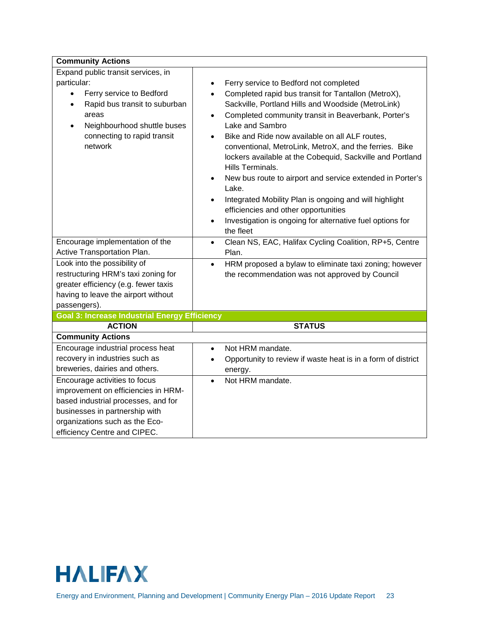| <b>Community Actions</b>                                                                                                                                                                                                                |                                                                                                                                                                                                                                                                                                                                                                                                                                                                                                                                                                                                                                                                                                                                  |
|-----------------------------------------------------------------------------------------------------------------------------------------------------------------------------------------------------------------------------------------|----------------------------------------------------------------------------------------------------------------------------------------------------------------------------------------------------------------------------------------------------------------------------------------------------------------------------------------------------------------------------------------------------------------------------------------------------------------------------------------------------------------------------------------------------------------------------------------------------------------------------------------------------------------------------------------------------------------------------------|
| Expand public transit services, in<br>particular:<br>Ferry service to Bedford<br>$\bullet$<br>Rapid bus transit to suburban<br>$\bullet$<br>areas<br>Neighbourhood shuttle buses<br>$\bullet$<br>connecting to rapid transit<br>network | Ferry service to Bedford not completed<br>$\bullet$<br>Completed rapid bus transit for Tantallon (MetroX),<br>$\bullet$<br>Sackville, Portland Hills and Woodside (MetroLink)<br>Completed community transit in Beaverbank, Porter's<br>$\bullet$<br>Lake and Sambro<br>Bike and Ride now available on all ALF routes,<br>conventional, MetroLink, MetroX, and the ferries. Bike<br>lockers available at the Cobequid, Sackville and Portland<br>Hills Terminals.<br>New bus route to airport and service extended in Porter's<br>Lake.<br>Integrated Mobility Plan is ongoing and will highlight<br>efficiencies and other opportunities<br>Investigation is ongoing for alternative fuel options for<br>$\bullet$<br>the fleet |
| Encourage implementation of the<br>Active Transportation Plan.                                                                                                                                                                          | Clean NS, EAC, Halifax Cycling Coalition, RP+5, Centre<br>$\bullet$<br>Plan.                                                                                                                                                                                                                                                                                                                                                                                                                                                                                                                                                                                                                                                     |
| Look into the possibility of<br>restructuring HRM's taxi zoning for<br>greater efficiency (e.g. fewer taxis<br>having to leave the airport without<br>passengers).                                                                      | HRM proposed a bylaw to eliminate taxi zoning; however<br>$\bullet$<br>the recommendation was not approved by Council                                                                                                                                                                                                                                                                                                                                                                                                                                                                                                                                                                                                            |
| <b>Goal 3: Increase Industrial Energy Efficiency</b>                                                                                                                                                                                    |                                                                                                                                                                                                                                                                                                                                                                                                                                                                                                                                                                                                                                                                                                                                  |
| <b>ACTION</b>                                                                                                                                                                                                                           | <b>STATUS</b>                                                                                                                                                                                                                                                                                                                                                                                                                                                                                                                                                                                                                                                                                                                    |
| <b>Community Actions</b><br>Encourage industrial process heat<br>recovery in industries such as<br>breweries, dairies and others.                                                                                                       | Not HRM mandate.<br>$\bullet$<br>Opportunity to review if waste heat is in a form of district<br>$\bullet$<br>energy.                                                                                                                                                                                                                                                                                                                                                                                                                                                                                                                                                                                                            |
| Encourage activities to focus<br>improvement on efficiencies in HRM-<br>based industrial processes, and for<br>businesses in partnership with<br>organizations such as the Eco-<br>efficiency Centre and CIPEC.                         | Not HRM mandate.                                                                                                                                                                                                                                                                                                                                                                                                                                                                                                                                                                                                                                                                                                                 |

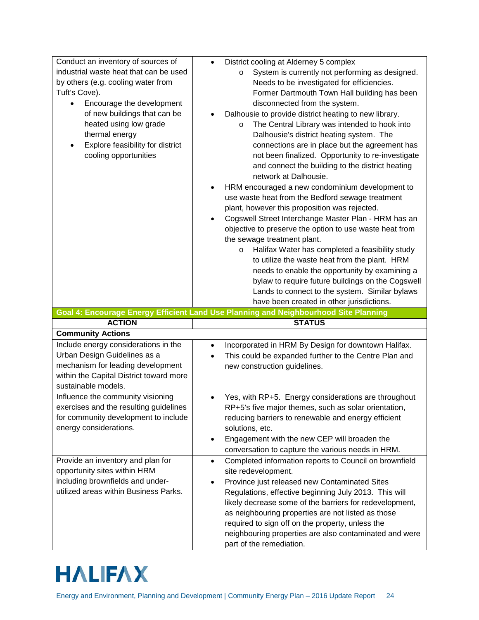| Conduct an inventory of sources of      | District cooling at Alderney 5 complex<br>$\bullet$                                  |
|-----------------------------------------|--------------------------------------------------------------------------------------|
| industrial waste heat that can be used  | System is currently not performing as designed.<br>$\circ$                           |
| by others (e.g. cooling water from      | Needs to be investigated for efficiencies.                                           |
| Tuft's Cove).                           | Former Dartmouth Town Hall building has been                                         |
| Encourage the development               | disconnected from the system.                                                        |
| of new buildings that can be            | Dalhousie to provide district heating to new library.                                |
| heated using low grade                  | The Central Library was intended to hook into<br>$\circ$                             |
| thermal energy                          | Dalhousie's district heating system. The                                             |
| Explore feasibility for district        | connections are in place but the agreement has                                       |
| cooling opportunities                   | not been finalized. Opportunity to re-investigate                                    |
|                                         | and connect the building to the district heating                                     |
|                                         | network at Dalhousie.                                                                |
|                                         | HRM encouraged a new condominium development to                                      |
|                                         | use waste heat from the Bedford sewage treatment                                     |
|                                         | plant, however this proposition was rejected.                                        |
|                                         | Cogswell Street Interchange Master Plan - HRM has an<br>$\bullet$                    |
|                                         | objective to preserve the option to use waste heat from                              |
|                                         | the sewage treatment plant.                                                          |
|                                         | Halifax Water has completed a feasibility study<br>O                                 |
|                                         | to utilize the waste heat from the plant. HRM                                        |
|                                         | needs to enable the opportunity by examining a                                       |
|                                         | bylaw to require future buildings on the Cogswell                                    |
|                                         | Lands to connect to the system. Similar bylaws                                       |
|                                         | have been created in other jurisdictions.                                            |
|                                         |                                                                                      |
|                                         |                                                                                      |
|                                         | Goal 4: Encourage Energy Efficient Land Use Planning and Neighbourhood Site Planning |
| <b>ACTION</b>                           | <b>STATUS</b>                                                                        |
| <b>Community Actions</b>                |                                                                                      |
| Include energy considerations in the    | Incorporated in HRM By Design for downtown Halifax.<br>$\bullet$                     |
| Urban Design Guidelines as a            | This could be expanded further to the Centre Plan and                                |
| mechanism for leading development       | new construction guidelines.                                                         |
| within the Capital District toward more |                                                                                      |
| sustainable models.                     |                                                                                      |
| Influence the community visioning       | Yes, with RP+5. Energy considerations are throughout<br>$\bullet$                    |
| exercises and the resulting guidelines  | RP+5's five major themes, such as solar orientation,                                 |
| for community development to include    | reducing barriers to renewable and energy efficient                                  |
| energy considerations.                  | solutions, etc.                                                                      |
|                                         | Engagement with the new CEP will broaden the<br>٠                                    |
|                                         | conversation to capture the various needs in HRM.                                    |
| Provide an inventory and plan for       | Completed information reports to Council on brownfield<br>$\bullet$                  |
| opportunity sites within HRM            | site redevelopment.                                                                  |
| including brownfields and under-        | Province just released new Contaminated Sites<br>$\bullet$                           |
| utilized areas within Business Parks.   | Regulations, effective beginning July 2013. This will                                |
|                                         | likely decrease some of the barriers for redevelopment,                              |
|                                         | as neighbouring properties are not listed as those                                   |
|                                         | required to sign off on the property, unless the                                     |
|                                         | neighbouring properties are also contaminated and were<br>part of the remediation.   |

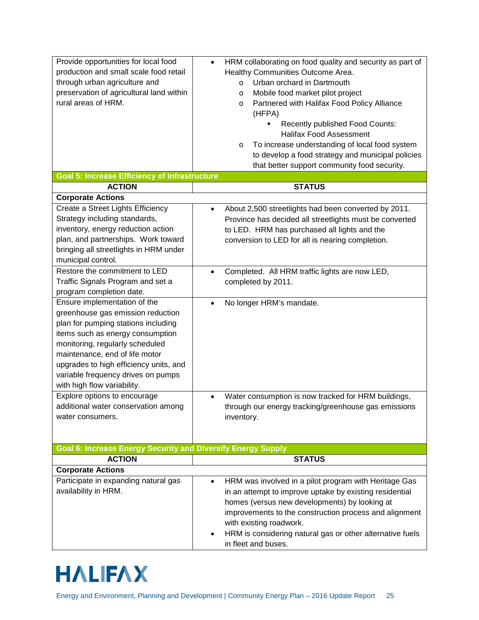| Provide opportunities for local food<br>production and small scale food retail<br>through urban agriculture and<br>preservation of agricultural land within<br>rural areas of HRM.                                                                                                                                                                               | HRM collaborating on food quality and security as part of<br>$\bullet$<br>Healthy Communities Outcome Area.<br>Urban orchard in Dartmouth<br>$\circ$<br>Mobile food market pilot project<br>$\circ$<br>Partnered with Halifax Food Policy Alliance<br>$\circ$<br>(HFPA)<br>Recently published Food Counts:<br><b>Halifax Food Assessment</b><br>To increase understanding of local food system<br>$\circ$<br>to develop a food strategy and municipal policies<br>that better support community food security. |
|------------------------------------------------------------------------------------------------------------------------------------------------------------------------------------------------------------------------------------------------------------------------------------------------------------------------------------------------------------------|----------------------------------------------------------------------------------------------------------------------------------------------------------------------------------------------------------------------------------------------------------------------------------------------------------------------------------------------------------------------------------------------------------------------------------------------------------------------------------------------------------------|
| <b>Goal 5: Increase Efficiency of Infrastructure</b>                                                                                                                                                                                                                                                                                                             |                                                                                                                                                                                                                                                                                                                                                                                                                                                                                                                |
| <b>ACTION</b>                                                                                                                                                                                                                                                                                                                                                    | <b>STATUS</b>                                                                                                                                                                                                                                                                                                                                                                                                                                                                                                  |
| <b>Corporate Actions</b>                                                                                                                                                                                                                                                                                                                                         |                                                                                                                                                                                                                                                                                                                                                                                                                                                                                                                |
| Create a Street Lights Efficiency<br>Strategy including standards,<br>inventory, energy reduction action<br>plan, and partnerships. Work toward<br>bringing all streetlights in HRM under<br>municipal control.<br>Restore the commitment to LED<br>Traffic Signals Program and set a<br>program completion date.                                                | About 2,500 streetlights had been converted by 2011.<br>Province has decided all streetlights must be converted<br>to LED. HRM has purchased all lights and the<br>conversion to LED for all is nearing completion.<br>Completed. All HRM traffic lights are now LED,<br>completed by 2011.                                                                                                                                                                                                                    |
| Ensure implementation of the<br>greenhouse gas emission reduction<br>plan for pumping stations including<br>items such as energy consumption<br>monitoring, regularly scheduled<br>maintenance, end of life motor<br>upgrades to high efficiency units, and<br>variable frequency drives on pumps<br>with high flow variability.<br>Explore options to encourage | No longer HRM's mandate.                                                                                                                                                                                                                                                                                                                                                                                                                                                                                       |
| additional water conservation among<br>water consumers.                                                                                                                                                                                                                                                                                                          | Water consumption is now tracked for HRM buildings,<br>through our energy tracking/greenhouse gas emissions<br>inventory.                                                                                                                                                                                                                                                                                                                                                                                      |
| <b>Goal 6: Increase Energy Security and Diversify Energy Supply</b>                                                                                                                                                                                                                                                                                              |                                                                                                                                                                                                                                                                                                                                                                                                                                                                                                                |
| <b>ACTION</b>                                                                                                                                                                                                                                                                                                                                                    | <b>STATUS</b>                                                                                                                                                                                                                                                                                                                                                                                                                                                                                                  |
| <b>Corporate Actions</b><br>Participate in expanding natural gas<br>availability in HRM.                                                                                                                                                                                                                                                                         | HRM was involved in a pilot program with Heritage Gas<br>in an attempt to improve uptake by existing residential<br>homes (versus new developments) by looking at<br>improvements to the construction process and alignment<br>with existing roadwork.<br>HRM is considering natural gas or other alternative fuels<br>in fleet and buses.                                                                                                                                                                     |

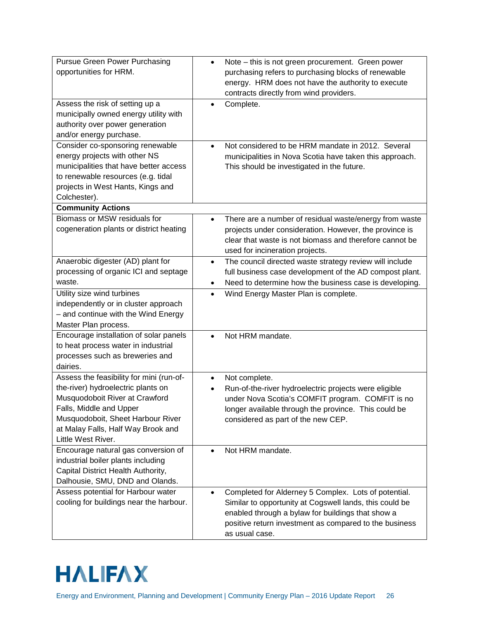| <b>Pursue Green Power Purchasing</b><br>opportunities for HRM.                                                                                                                                                                               | Note – this is not green procurement. Green power<br>$\bullet$<br>purchasing refers to purchasing blocks of renewable<br>energy. HRM does not have the authority to execute<br>contracts directly from wind providers.                                        |
|----------------------------------------------------------------------------------------------------------------------------------------------------------------------------------------------------------------------------------------------|---------------------------------------------------------------------------------------------------------------------------------------------------------------------------------------------------------------------------------------------------------------|
| Assess the risk of setting up a<br>municipally owned energy utility with<br>authority over power generation<br>and/or energy purchase.                                                                                                       | Complete.<br>$\bullet$                                                                                                                                                                                                                                        |
| Consider co-sponsoring renewable<br>energy projects with other NS<br>municipalities that have better access<br>to renewable resources (e.g. tidal<br>projects in West Hants, Kings and<br>Colchester).                                       | Not considered to be HRM mandate in 2012. Several<br>$\bullet$<br>municipalities in Nova Scotia have taken this approach.<br>This should be investigated in the future.                                                                                       |
| <b>Community Actions</b>                                                                                                                                                                                                                     |                                                                                                                                                                                                                                                               |
| Biomass or MSW residuals for<br>cogeneration plants or district heating                                                                                                                                                                      | There are a number of residual waste/energy from waste<br>$\bullet$<br>projects under consideration. However, the province is<br>clear that waste is not biomass and therefore cannot be<br>used for incineration projects.                                   |
| Anaerobic digester (AD) plant for<br>processing of organic ICI and septage<br>waste.                                                                                                                                                         | The council directed waste strategy review will include<br>$\bullet$<br>full business case development of the AD compost plant.<br>Need to determine how the business case is developing.<br>$\bullet$                                                        |
| Utility size wind turbines<br>independently or in cluster approach<br>- and continue with the Wind Energy<br>Master Plan process.                                                                                                            | Wind Energy Master Plan is complete.<br>$\bullet$                                                                                                                                                                                                             |
| Encourage installation of solar panels<br>to heat process water in industrial<br>processes such as breweries and<br>dairies.                                                                                                                 | Not HRM mandate.                                                                                                                                                                                                                                              |
| Assess the feasibility for mini (run-of-<br>the-river) hydroelectric plants on<br>Musquodoboit River at Crawford<br>Falls, Middle and Upper<br>Musquodoboit, Sheet Harbour River<br>at Malay Falls, Half Way Brook and<br>Little West River. | Not complete.<br>$\bullet$<br>Run-of-the-river hydroelectric projects were eligible<br>under Nova Scotia's COMFIT program. COMFIT is no<br>longer available through the province. This could be<br>considered as part of the new CEP.                         |
| Encourage natural gas conversion of<br>industrial boiler plants including<br>Capital District Health Authority,<br>Dalhousie, SMU, DND and Olands.                                                                                           | Not HRM mandate.                                                                                                                                                                                                                                              |
| Assess potential for Harbour water<br>cooling for buildings near the harbour.                                                                                                                                                                | Completed for Alderney 5 Complex. Lots of potential.<br>$\bullet$<br>Similar to opportunity at Cogswell lands, this could be<br>enabled through a bylaw for buildings that show a<br>positive return investment as compared to the business<br>as usual case. |

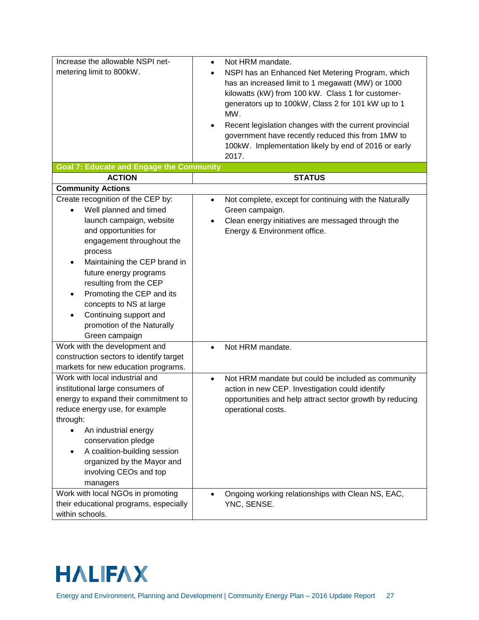| Increase the allowable NSPI net-                | Not HRM mandate.<br>$\bullet$                                       |
|-------------------------------------------------|---------------------------------------------------------------------|
| metering limit to 800kW.                        | NSPI has an Enhanced Net Metering Program, which<br>$\bullet$       |
|                                                 | has an increased limit to 1 megawatt (MW) or 1000                   |
|                                                 | kilowatts (kW) from 100 kW. Class 1 for customer-                   |
|                                                 | generators up to 100kW, Class 2 for 101 kW up to 1                  |
|                                                 | MW.                                                                 |
|                                                 | Recent legislation changes with the current provincial<br>$\bullet$ |
|                                                 | government have recently reduced this from 1MW to                   |
|                                                 | 100kW. Implementation likely by end of 2016 or early                |
|                                                 | 2017.                                                               |
| <b>Goal 7: Educate and Engage the Community</b> |                                                                     |
| <b>ACTION</b>                                   | <b>STATUS</b>                                                       |
| <b>Community Actions</b>                        |                                                                     |
| Create recognition of the CEP by:               | Not complete, except for continuing with the Naturally<br>$\bullet$ |
| Well planned and timed                          | Green campaign.                                                     |
| launch campaign, website                        | Clean energy initiatives are messaged through the<br>$\bullet$      |
| and opportunities for                           | Energy & Environment office.                                        |
| engagement throughout the                       |                                                                     |
| process                                         |                                                                     |
| Maintaining the CEP brand in                    |                                                                     |
| future energy programs                          |                                                                     |
| resulting from the CEP                          |                                                                     |
| Promoting the CEP and its                       |                                                                     |
| concepts to NS at large                         |                                                                     |
| Continuing support and<br>٠                     |                                                                     |
| promotion of the Naturally                      |                                                                     |
| Green campaign                                  |                                                                     |
| Work with the development and                   | Not HRM mandate.<br>$\bullet$                                       |
| construction sectors to identify target         |                                                                     |
| markets for new education programs.             |                                                                     |
| Work with local industrial and                  | Not HRM mandate but could be included as community<br>$\bullet$     |
| institutional large consumers of                | action in new CEP. Investigation could identify                     |
| energy to expand their commitment to            | opportunities and help attract sector growth by reducing            |
| reduce energy use, for example                  | operational costs.                                                  |
| through:                                        |                                                                     |
| An industrial energy                            |                                                                     |
| conservation pledge                             |                                                                     |
| A coalition-building session                    |                                                                     |
| organized by the Mayor and                      |                                                                     |
| involving CEOs and top                          |                                                                     |
| managers                                        |                                                                     |
| Work with local NGOs in promoting               | Ongoing working relationships with Clean NS, EAC,<br>$\bullet$      |
| their educational programs, especially          | YNC, SENSE.                                                         |
| within schools.                                 |                                                                     |